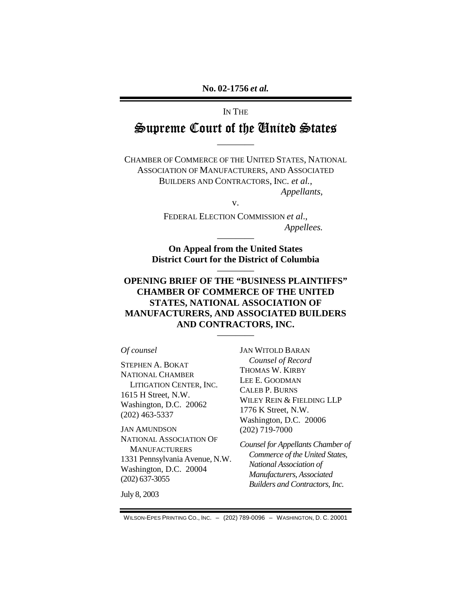# IN THE  $\cong$ upreme Court of the United  $\cong$ tates

————

CHAMBER OF COMMERCE OF THE UNITED STATES, NATIONAL ASSOCIATION OF MANUFACTURERS, AND ASSOCIATED BUILDERS AND CONTRACTORS, INC. *et al.*, *Appellants*,

v.

FEDERAL ELECTION COMMISSION *et al*., *Appellees.* 

**On Appeal from the United States District Court for the District of Columbia** 

————

————

# **OPENING BRIEF OF THE "BUSINESS PLAINTIFFS" CHAMBER OF COMMERCE OF THE UNITED STATES, NATIONAL ASSOCIATION OF MANUFACTURERS, AND ASSOCIATED BUILDERS AND CONTRACTORS, INC.**

————

#### *Of counsel*

STEPHEN A. BOKAT NATIONAL CHAMBER LITIGATION CENTER, INC. 1615 H Street, N.W. Washington, D.C. 20062 (202) 463-5337

JAN AMUNDSON NATIONAL ASSOCIATION OF **MANUFACTURERS** 1331 Pennsylvania Avenue, N.W. Washington, D.C. 20004 (202) 637-3055

JAN WITOLD BARAN *Counsel of Record*  THOMAS W. KIRBY LEE E. GOODMAN CALEB P. BURNS WILEY REIN & FIELDING LLP 1776 K Street, N.W. Washington, D.C. 20006 (202) 719-7000

*Counsel for Appellants Chamber of Commerce of the United States, National Association of Manufacturers, Associated Builders and Contractors, Inc.* 

July 8, 2003

WILSON-EPES PRINTING CO., INC. – (202) 789-0096 – WASHINGTON, D. C. 20001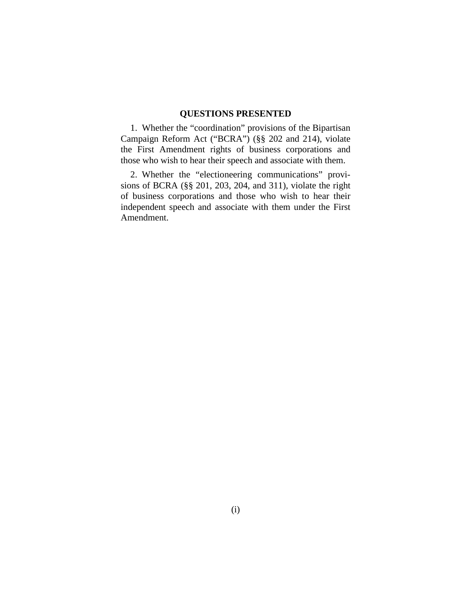# **QUESTIONS PRESENTED**

1. Whether the "coordination" provisions of the Bipartisan Campaign Reform Act ("BCRA") (§§ 202 and 214), violate the First Amendment rights of business corporations and those who wish to hear their speech and associate with them.

2. Whether the "electioneering communications" provisions of BCRA (§§ 201, 203, 204, and 311), violate the right of business corporations and those who wish to hear their independent speech and associate with them under the First Amendment.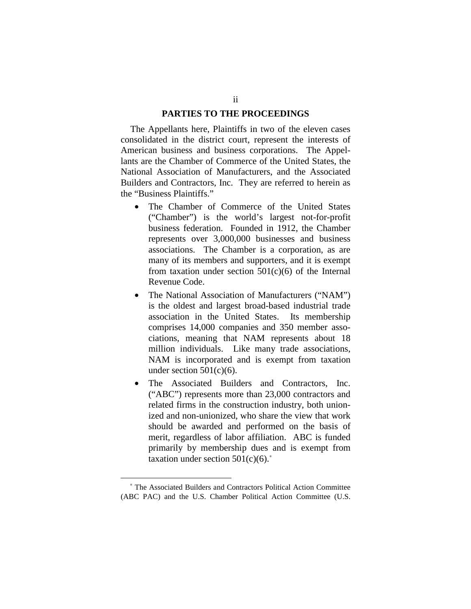#### **PARTIES TO THE PROCEEDINGS**

The Appellants here, Plaintiffs in two of the eleven cases consolidated in the district court, represent the interests of American business and business corporations. The Appellants are the Chamber of Commerce of the United States, the National Association of Manufacturers, and the Associated Builders and Contractors, Inc. They are referred to herein as the "Business Plaintiffs."

- The Chamber of Commerce of the United States ("Chamber") is the world's largest not-for-profit business federation. Founded in 1912, the Chamber represents over 3,000,000 businesses and business associations. The Chamber is a corporation, as are many of its members and supporters, and it is exempt from taxation under section  $501(c)(6)$  of the Internal Revenue Code.
- The National Association of Manufacturers ("NAM") is the oldest and largest broad-based industrial trade association in the United States. Its membership comprises 14,000 companies and 350 member associations, meaning that NAM represents about 18 million individuals. Like many trade associations, NAM is incorporated and is exempt from taxation under section  $501(c)(6)$ .
- The Associated Builders and Contractors, Inc. ("ABC") represents more than 23,000 contractors and related firms in the construction industry, both unionized and non-unionized, who share the view that work should be awarded and performed on the basis of merit, regardless of labor affiliation. ABC is funded primarily by membership dues and is exempt from taxation under section  $501(c)(6)$ .<sup>∗</sup>

<sup>∗</sup> The Associated Builders and Contractors Political Action Committee (ABC PAC) and the U.S. Chamber Political Action Committee (U.S.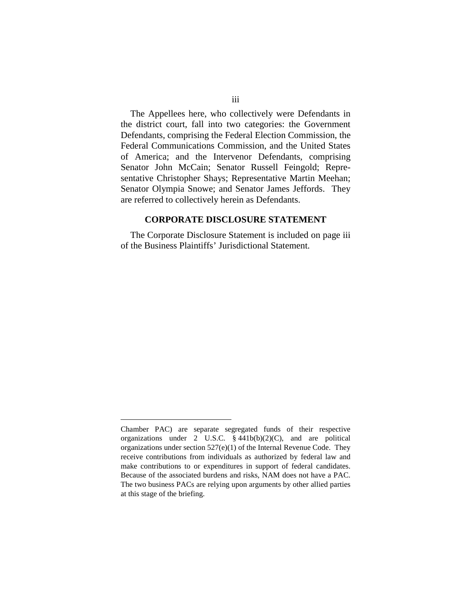The Appellees here, who collectively were Defendants in the district court, fall into two categories: the Government Defendants, comprising the Federal Election Commission, the Federal Communications Commission, and the United States of America; and the Intervenor Defendants, comprising Senator John McCain; Senator Russell Feingold; Representative Christopher Shays; Representative Martin Meehan; Senator Olympia Snowe; and Senator James Jeffords. They are referred to collectively herein as Defendants.

#### **CORPORATE DISCLOSURE STATEMENT**

The Corporate Disclosure Statement is included on page iii of the Business Plaintiffs' Jurisdictional Statement.

Chamber PAC) are separate segregated funds of their respective organizations under 2 U.S.C. § 441b(b)(2)(C), and are political organizations under section  $527(e)(1)$  of the Internal Revenue Code. They receive contributions from individuals as authorized by federal law and make contributions to or expenditures in support of federal candidates. Because of the associated burdens and risks, NAM does not have a PAC. The two business PACs are relying upon arguments by other allied parties at this stage of the briefing.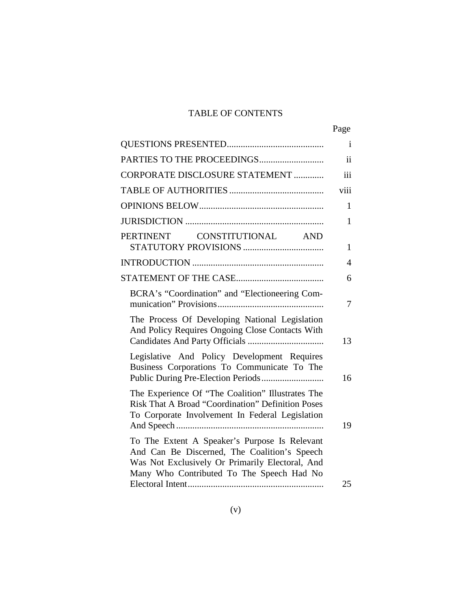# TABLE OF CONTENTS

|                                                                                                                                                                                               | Page         |
|-----------------------------------------------------------------------------------------------------------------------------------------------------------------------------------------------|--------------|
|                                                                                                                                                                                               | Ť            |
|                                                                                                                                                                                               | ii           |
| CORPORATE DISCLOSURE STATEMENT                                                                                                                                                                | iii          |
|                                                                                                                                                                                               | viii         |
|                                                                                                                                                                                               | $\mathbf{1}$ |
|                                                                                                                                                                                               | 1            |
| CONSTITUTIONAL<br>PERTINENT<br><b>AND</b>                                                                                                                                                     | 1            |
|                                                                                                                                                                                               | 4            |
|                                                                                                                                                                                               | 6            |
| BCRA's "Coordination" and "Electioneering Com-                                                                                                                                                | 7            |
| The Process Of Developing National Legislation<br>And Policy Requires Ongoing Close Contacts With                                                                                             | 13           |
| Legislative And Policy Development Requires<br>Business Corporations To Communicate To The<br>Public During Pre-Election Periods                                                              | 16           |
| The Experience Of "The Coalition" Illustrates The<br><b>Risk That A Broad "Coordination" Definition Poses</b><br>To Corporate Involvement In Federal Legislation                              | 19           |
| To The Extent A Speaker's Purpose Is Relevant<br>And Can Be Discerned, The Coalition's Speech<br>Was Not Exclusively Or Primarily Electoral, And<br>Many Who Contributed To The Speech Had No |              |
|                                                                                                                                                                                               | 25           |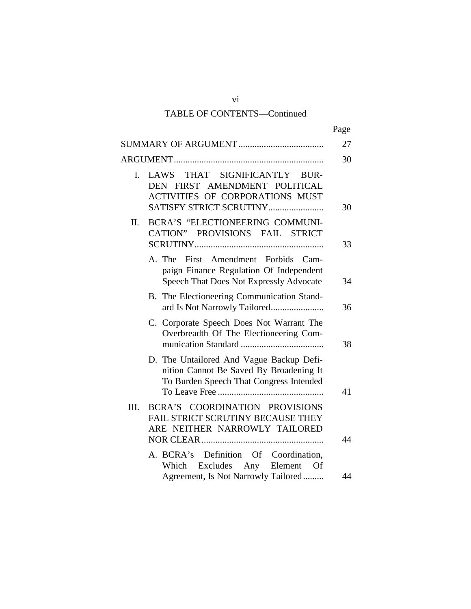# TABLE OF CONTENTS—Continued

|              |                                                                                                                                | Page |
|--------------|--------------------------------------------------------------------------------------------------------------------------------|------|
|              |                                                                                                                                | 27   |
|              |                                                                                                                                | 30   |
| $\mathbf{L}$ | LAWS THAT SIGNIFICANTLY BUR-<br>DEN FIRST AMENDMENT POLITICAL<br>ACTIVITIES OF CORPORATIONS MUST<br>SATISFY STRICT SCRUTINY    | 30   |
| II.          | BCRA'S "ELECTIONEERING COMMUNI-<br>CATION" PROVISIONS FAIL STRICT                                                              | 33   |
|              | A. The First Amendment Forbids<br>Cam-<br>paign Finance Regulation Of Independent<br>Speech That Does Not Expressly Advocate   | 34   |
|              | B. The Electioneering Communication Stand-                                                                                     | 36   |
|              | C. Corporate Speech Does Not Warrant The<br>Overbreadth Of The Electioneering Com-                                             | 38   |
|              | D. The Untailored And Vague Backup Defi-<br>nition Cannot Be Saved By Broadening It<br>To Burden Speech That Congress Intended | 41   |
| III.         | BCRA'S COORDINATION PROVISIONS<br>FAIL STRICT SCRUTINY BECAUSE THEY<br>ARE NEITHER NARROWLY TAILORED                           | 44   |
|              | A. BCRA's Definition Of Coordination,<br>Which Excludes Any Element Of<br>Agreement, Is Not Narrowly Tailored                  | 44   |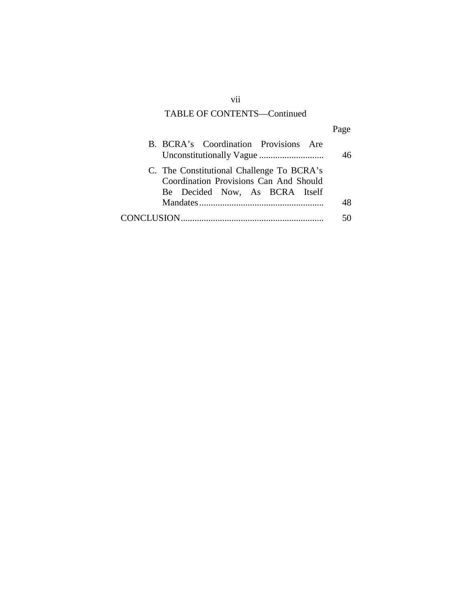# TABLE OF CONTENTS—Continued

| B. BCRA's Coordination Provisions Are                                                                                 |  |
|-----------------------------------------------------------------------------------------------------------------------|--|
| C. The Constitutional Challenge To BCRA's<br>Coordination Provisions Can And Should<br>Be Decided Now, As BCRA Itself |  |
|                                                                                                                       |  |
|                                                                                                                       |  |

vii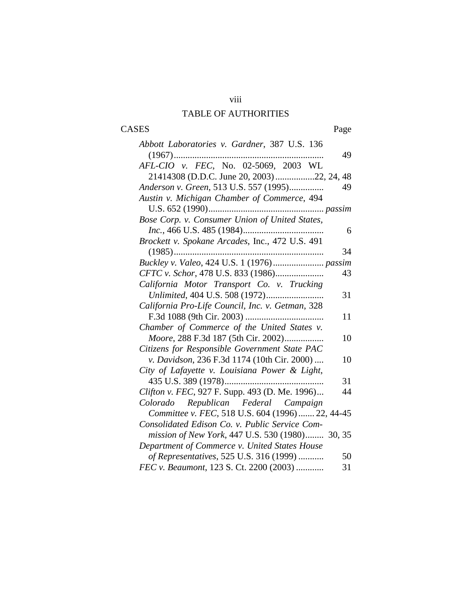# viii TABLE OF AUTHORITIES

# CASES Page

| Abbott Laboratories v. Gardner, 387 U.S. 136     |    |
|--------------------------------------------------|----|
|                                                  | 49 |
| AFL-CIO v. FEC, No. 02-5069, 2003 WL             |    |
|                                                  |    |
| Anderson v. Green, 513 U.S. 557 (1995)           | 49 |
| Austin v. Michigan Chamber of Commerce, 494      |    |
|                                                  |    |
| Bose Corp. v. Consumer Union of United States,   |    |
|                                                  | 6  |
| Brockett v. Spokane Arcades, Inc., 472 U.S. 491  |    |
|                                                  | 34 |
|                                                  |    |
| CFTC v. Schor, 478 U.S. 833 (1986)               | 43 |
| California Motor Transport Co. v. Trucking       |    |
|                                                  | 31 |
| California Pro-Life Council, Inc. v. Getman, 328 |    |
|                                                  | 11 |
| Chamber of Commerce of the United States v.      |    |
| Moore, 288 F.3d 187 (5th Cir. 2002)              | 10 |
| Citizens for Responsible Government State PAC    |    |
| v. Davidson, 236 F.3d 1174 (10th Cir. 2000)      | 10 |
| City of Lafayette v. Louisiana Power & Light,    |    |
|                                                  | 31 |
| Clifton v. FEC, 927 F. Supp. 493 (D. Me. 1996)   | 44 |
| Colorado Republican Federal Campaign             |    |
| Committee v. FEC, 518 U.S. 604 (1996)  22, 44-45 |    |
| Consolidated Edison Co. v. Public Service Com-   |    |
| mission of New York, 447 U.S. 530 (1980) 30, 35  |    |
| Department of Commerce v. United States House    |    |
| of Representatives, 525 U.S. 316 (1999)          | 50 |
| FEC v. Beaumont, 123 S. Ct. 2200 (2003)          | 31 |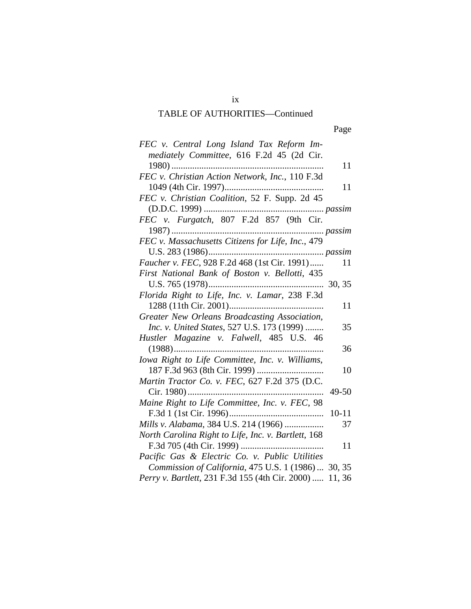| FEC v. Central Long Island Tax Reform Im-               |
|---------------------------------------------------------|
| mediately Committee, 616 F.2d 45 (2d Cir.               |
| 11                                                      |
| FEC v. Christian Action Network, Inc., 110 F.3d         |
| 11                                                      |
| FEC v. Christian Coalition, 52 F. Supp. 2d 45           |
|                                                         |
| FEC v. Furgatch, 807 F.2d 857 (9th Cir.                 |
|                                                         |
| FEC v. Massachusetts Citizens for Life, Inc., 479       |
|                                                         |
| Faucher v. FEC, 928 F.2d 468 (1st Cir. 1991)<br>11      |
| First National Bank of Boston v. Bellotti, 435          |
|                                                         |
| Florida Right to Life, Inc. v. Lamar, 238 F.3d          |
| 11                                                      |
| Greater New Orleans Broadcasting Association,           |
| Inc. v. United States, 527 U.S. 173 (1999)<br>35        |
| Hustler Magazine v. Falwell, 485 U.S. 46                |
| 36                                                      |
| Iowa Right to Life Committee, Inc. v. Williams,<br>10   |
| Martin Tractor Co. v. FEC, 627 F.2d 375 (D.C.           |
| Cir. 1980)<br>49-50                                     |
| Maine Right to Life Committee, Inc. v. FEC, 98          |
| $10 - 11$                                               |
| Mills v. Alabama, 384 U.S. 214 (1966)<br>37             |
| North Carolina Right to Life, Inc. v. Bartlett, 168     |
| 11                                                      |
| Pacific Gas & Electric Co. v. Public Utilities          |
| Commission of California, 475 U.S. 1 (1986)  30, 35     |
| Perry v. Bartlett, 231 F.3d 155 (4th Cir. 2000)  11, 36 |
|                                                         |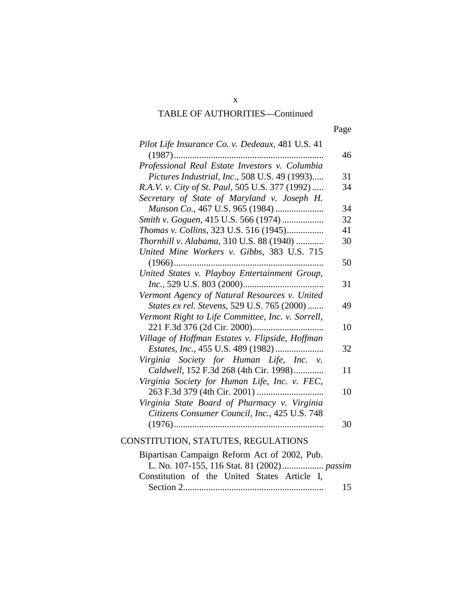| Pilot Life Insurance Co. v. Dedeaux, 481 U.S. 41  |    |
|---------------------------------------------------|----|
|                                                   | 46 |
| Professional Real Estate Investors v. Columbia    |    |
| Pictures Industrial, Inc., 508 U.S. 49 (1993)     | 31 |
| R.A.V. v. City of St. Paul, 505 U.S. 377 (1992)   | 34 |
| Secretary of State of Maryland v. Joseph H.       |    |
| Munson Co., 467 U.S. 965 (1984)                   | 34 |
| Smith v. Goguen, 415 U.S. 566 (1974)              | 32 |
| Thomas v. Collins, 323 U.S. 516 (1945)            | 41 |
| Thornhill v. Alabama, 310 U.S. 88 (1940)          | 30 |
| United Mine Workers v. Gibbs, 383 U.S. 715        |    |
|                                                   | 50 |
| United States v. Playboy Entertainment Group,     |    |
|                                                   | 31 |
| Vermont Agency of Natural Resources v. United     |    |
| States ex rel. Stevens, 529 U.S. 765 (2000)       | 49 |
| Vermont Right to Life Committee, Inc. v. Sorrell, |    |
|                                                   | 10 |
| Village of Hoffman Estates v. Flipside, Hoffman   |    |
|                                                   | 32 |
| Virginia Society for Human Life, Inc. v.          |    |
| Caldwell, 152 F.3d 268 (4th Cir. 1998)            | 11 |
| Virginia Society for Human Life, Inc. v. FEC,     |    |
|                                                   | 10 |
| Virginia State Board of Pharmacy v. Virginia      |    |
| Citizens Consumer Council, Inc., 425 U.S. 748     |    |
|                                                   | 30 |
|                                                   |    |
| CONSTITUTION, STATUTES, REGULATIONS               |    |
| Bipartisan Campaign Reform Act of 2002, Pub.      |    |
| L. No. 107-155, 116 Stat. 81 (2002)  passim       |    |
| Constitution of the United States Article I,      |    |
|                                                   | 15 |

x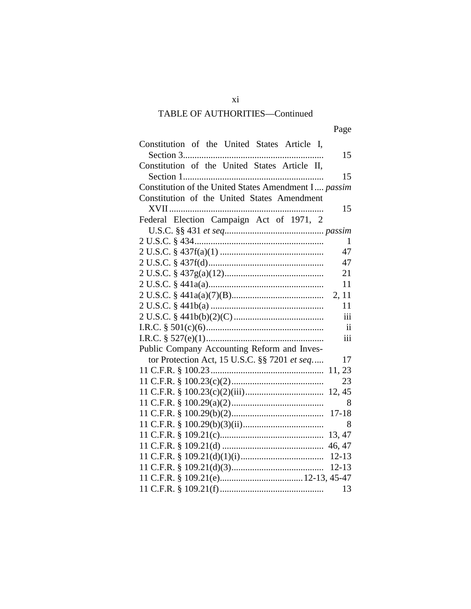| Constitution of the United States Article I,         |
|------------------------------------------------------|
| 15                                                   |
| Constitution of the United States Article II,        |
| 15                                                   |
| Constitution of the United States Amendment I passim |
| Constitution of the United States Amendment          |
| 15                                                   |
| Federal Election Campaign Act of 1971, 2             |
|                                                      |
| 1                                                    |
| 47                                                   |
| 47                                                   |
| 21                                                   |
| 11                                                   |
| 2, 11                                                |
| 11                                                   |
| iii                                                  |
| $\mathbf{ii}$                                        |
| iii                                                  |
| Public Company Accounting Reform and Inves-          |
| tor Protection Act, 15 U.S.C. §§ 7201 et seq<br>17   |
| 11, 23                                               |
| 23                                                   |
|                                                      |
| 8                                                    |
|                                                      |
| 8                                                    |
| 13, 47                                               |
| 46, 47                                               |
| $12 - 13$                                            |
| $12 - 13$                                            |
|                                                      |
| 13                                                   |

xi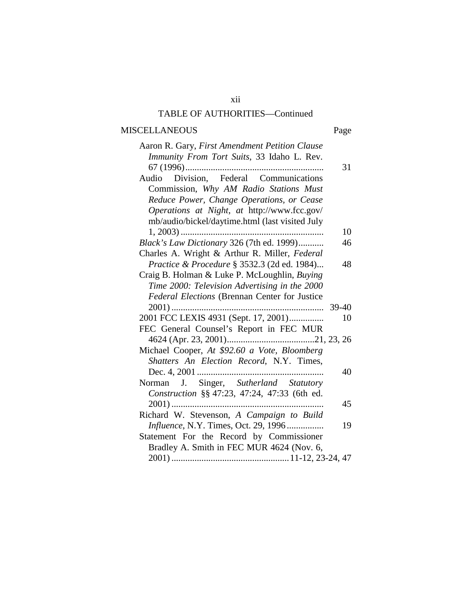# MISCELLANEOUS Page

| Aaron R. Gary, First Amendment Petition Clause  |    |
|-------------------------------------------------|----|
| Immunity From Tort Suits, 33 Idaho L. Rev.      |    |
|                                                 | 31 |
| Division, Federal Communications<br>Audio       |    |
| Commission, Why AM Radio Stations Must          |    |
| Reduce Power, Change Operations, or Cease       |    |
| Operations at Night, at http://www.fcc.gov/     |    |
| mb/audio/bickel/daytime.html (last visited July |    |
|                                                 | 10 |
| Black's Law Dictionary 326 (7th ed. 1999)       | 46 |
| Charles A. Wright & Arthur R. Miller, Federal   |    |
| Practice & Procedure § 3532.3 (2d ed. 1984)     | 48 |
| Craig B. Holman & Luke P. McLoughlin, Buying    |    |
| Time 2000: Television Advertising in the 2000   |    |
| Federal Elections (Brennan Center for Justice   |    |
|                                                 |    |
| 2001 FCC LEXIS 4931 (Sept. 17, 2001)            |    |
|                                                 | 10 |
| FEC General Counsel's Report in FEC MUR         |    |
|                                                 |    |
| Michael Cooper, At \$92.60 a Vote, Bloomberg    |    |
| Shatters An Election Record, N.Y. Times,        |    |
|                                                 | 40 |
| J. Singer, Sutherland Statutory<br>Norman       |    |
| Construction §§ 47:23, 47:24, 47:33 (6th ed.    |    |
|                                                 | 45 |
| Richard W. Stevenson, A Campaign to Build       |    |
| Influence, N.Y. Times, Oct. 29, 1996            | 19 |
| Statement For the Record by Commissioner        |    |
| Bradley A. Smith in FEC MUR 4624 (Nov. 6,       |    |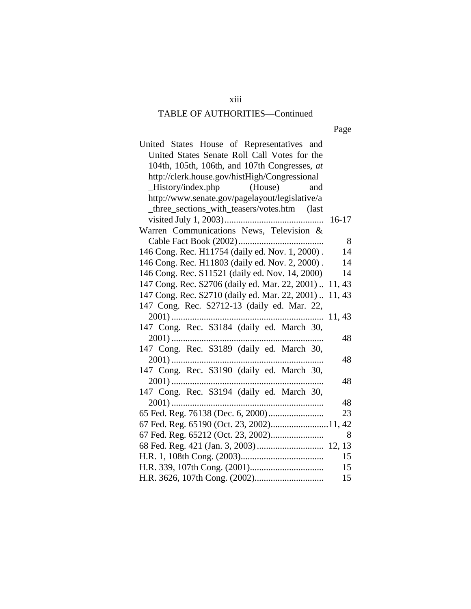| ×<br>٠ |
|--------|
|--------|

| United States House of Representatives and             |         |
|--------------------------------------------------------|---------|
| United States Senate Roll Call Votes for the           |         |
| 104th, 105th, 106th, and 107th Congresses, at          |         |
| http://clerk.house.gov/histHigh/Congressional          |         |
| $-History/index.php$ (House)<br>and                    |         |
| http://www.senate.gov/pagelayout/legislative/a         |         |
| _three_sections_with_teasers/votes.htm (last           |         |
|                                                        | $16-17$ |
| Warren Communications News, Television &               |         |
|                                                        | 8       |
| 146 Cong. Rec. H11754 (daily ed. Nov. 1, 2000).        | 14      |
| 146 Cong. Rec. H11803 (daily ed. Nov. 2, 2000).        | 14      |
| 146 Cong. Rec. S11521 (daily ed. Nov. 14, 2000)        | 14      |
| 147 Cong. Rec. S2706 (daily ed. Mar. 22, 2001)  11, 43 |         |
| 147 Cong. Rec. S2710 (daily ed. Mar. 22, 2001)  11, 43 |         |
| 147 Cong. Rec. S2712-13 (daily ed. Mar. 22,            |         |
|                                                        | 11, 43  |
| 147 Cong. Rec. S3184 (daily ed. March 30,              |         |
|                                                        | 48      |
| 147 Cong. Rec. S3189 (daily ed. March 30,              |         |
|                                                        | 48      |
| 147 Cong. Rec. S3190 (daily ed. March 30,              |         |
|                                                        | 48      |
| 147 Cong. Rec. S3194 (daily ed. March 30,              |         |
|                                                        | 48      |
|                                                        | 23      |
| 67 Fed. Reg. 65190 (Oct. 23, 2002)11, 42               |         |
|                                                        | 8       |
|                                                        |         |
|                                                        | 15      |
|                                                        | 15      |
|                                                        | 15      |

xiii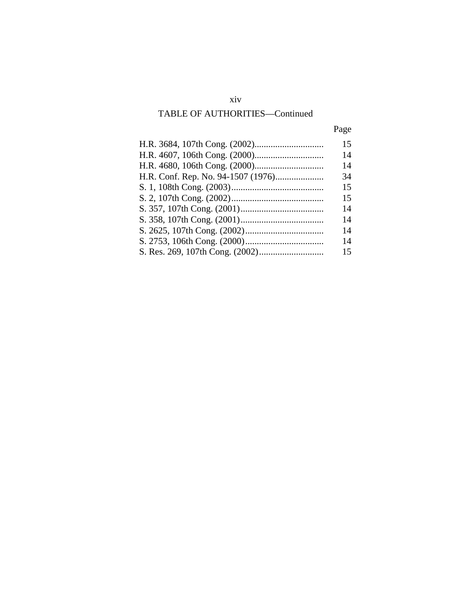# xiv

# TABLE OF AUTHORITIES—Continued

|--|

| 15 |
|----|
| 14 |
| 14 |
| 34 |
| 15 |
| 15 |
| 14 |
| 14 |
| 14 |
| 14 |
| 15 |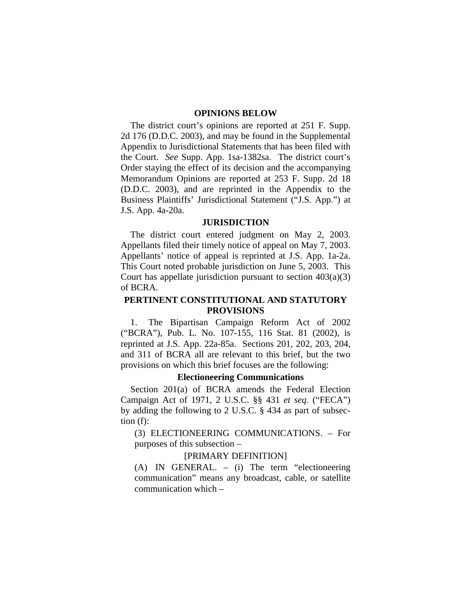#### **OPINIONS BELOW**

The district court's opinions are reported at 251 F. Supp. 2d 176 (D.D.C. 2003), and may be found in the Supplemental Appendix to Jurisdictional Statements that has been filed with the Court. *See* Supp. App. 1sa-1382sa. The district court's Order staying the effect of its decision and the accompanying Memorandum Opinions are reported at 253 F. Supp. 2d 18 (D.D.C. 2003), and are reprinted in the Appendix to the Business Plaintiffs' Jurisdictional Statement ("J.S. App.") at J.S. App. 4a-20a.

#### **JURISDICTION**

The district court entered judgment on May 2, 2003. Appellants filed their timely notice of appeal on May 7, 2003. Appellants' notice of appeal is reprinted at J.S. App. 1a-2a. This Court noted probable jurisdiction on June 5, 2003. This Court has appellate jurisdiction pursuant to section  $403(a)(3)$ of BCRA.

## **PERTINENT CONSTITUTIONAL AND STATUTORY PROVISIONS**

1. The Bipartisan Campaign Reform Act of 2002 ("BCRA"), Pub. L. No. 107-155, 116 Stat. 81 (2002), is reprinted at J.S. App. 22a-85a. Sections 201, 202, 203, 204, and 311 of BCRA all are relevant to this brief, but the two provisions on which this brief focuses are the following:

#### **Electioneering Communications**

Section 201(a) of BCRA amends the Federal Election Campaign Act of 1971, 2 U.S.C. §§ 431 *et seq*. ("FECA") by adding the following to 2 U.S.C. § 434 as part of subsection (f):

(3) ELECTIONEERING COMMUNICATIONS. – For purposes of this subsection –

#### [PRIMARY DEFINITION]

(A) IN GENERAL. – (i) The term "electioneering communication" means any broadcast, cable, or satellite communication which –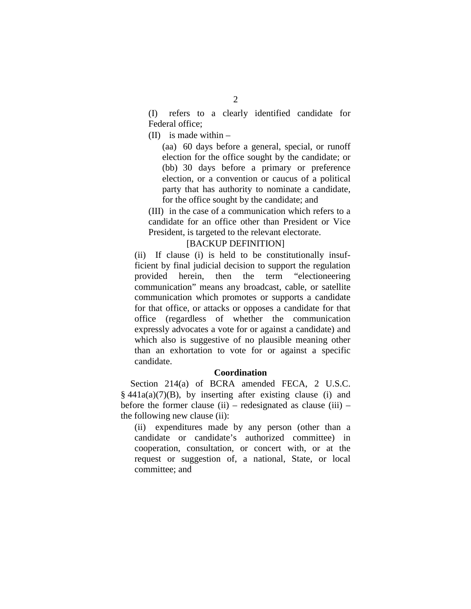(I) refers to a clearly identified candidate for Federal office;

(II) is made within –

(aa) 60 days before a general, special, or runoff election for the office sought by the candidate; or (bb) 30 days before a primary or preference election, or a convention or caucus of a political party that has authority to nominate a candidate, for the office sought by the candidate; and

(III) in the case of a communication which refers to a candidate for an office other than President or Vice President, is targeted to the relevant electorate.

#### [BACKUP DEFINITION]

(ii) If clause (i) is held to be constitutionally insufficient by final judicial decision to support the regulation provided herein, then the term "electioneering communication" means any broadcast, cable, or satellite communication which promotes or supports a candidate for that office, or attacks or opposes a candidate for that office (regardless of whether the communication expressly advocates a vote for or against a candidate) and which also is suggestive of no plausible meaning other than an exhortation to vote for or against a specific candidate.

#### **Coordination**

Section 214(a) of BCRA amended FECA, 2 U.S.C.  $§$  441a(a)(7)(B), by inserting after existing clause (i) and before the former clause (ii) – redesignated as clause (iii) – the following new clause (ii):

(ii) expenditures made by any person (other than a candidate or candidate's authorized committee) in cooperation, consultation, or concert with, or at the request or suggestion of, a national, State, or local committee; and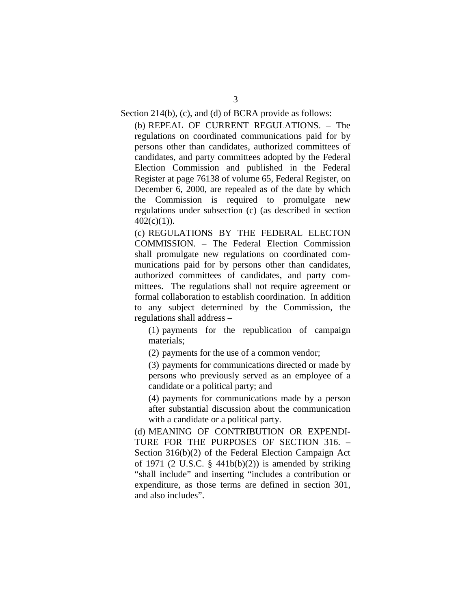Section 214(b), (c), and (d) of BCRA provide as follows:

(b) REPEAL OF CURRENT REGULATIONS. – The regulations on coordinated communications paid for by persons other than candidates, authorized committees of candidates, and party committees adopted by the Federal Election Commission and published in the Federal Register at page 76138 of volume 65, Federal Register, on December 6, 2000, are repealed as of the date by which the Commission is required to promulgate new regulations under subsection (c) (as described in section  $402(c)(1)$ ).

(c) REGULATIONS BY THE FEDERAL ELECTON COMMISSION. – The Federal Election Commission shall promulgate new regulations on coordinated communications paid for by persons other than candidates, authorized committees of candidates, and party committees. The regulations shall not require agreement or formal collaboration to establish coordination. In addition to any subject determined by the Commission, the regulations shall address –

(1) payments for the republication of campaign materials;

(2) payments for the use of a common vendor;

(3) payments for communications directed or made by persons who previously served as an employee of a candidate or a political party; and

(4) payments for communications made by a person after substantial discussion about the communication with a candidate or a political party.

(d) MEANING OF CONTRIBUTION OR EXPENDI-TURE FOR THE PURPOSES OF SECTION 316. – Section 316(b)(2) of the Federal Election Campaign Act of 1971 (2 U.S.C.  $\S$  441b(b)(2)) is amended by striking "shall include" and inserting "includes a contribution or expenditure, as those terms are defined in section 301, and also includes".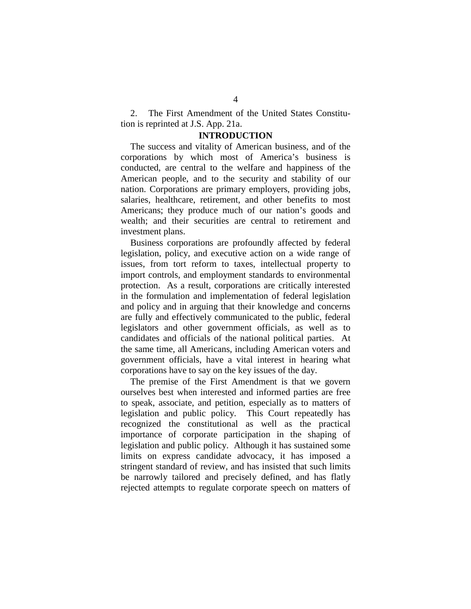2. The First Amendment of the United States Constitution is reprinted at J.S. App. 21a.

#### **INTRODUCTION**

The success and vitality of American business, and of the corporations by which most of America's business is conducted, are central to the welfare and happiness of the American people, and to the security and stability of our nation. Corporations are primary employers, providing jobs, salaries, healthcare, retirement, and other benefits to most Americans; they produce much of our nation's goods and wealth; and their securities are central to retirement and investment plans.

Business corporations are profoundly affected by federal legislation, policy, and executive action on a wide range of issues, from tort reform to taxes, intellectual property to import controls, and employment standards to environmental protection. As a result, corporations are critically interested in the formulation and implementation of federal legislation and policy and in arguing that their knowledge and concerns are fully and effectively communicated to the public, federal legislators and other government officials, as well as to candidates and officials of the national political parties. At the same time, all Americans, including American voters and government officials, have a vital interest in hearing what corporations have to say on the key issues of the day.

The premise of the First Amendment is that we govern ourselves best when interested and informed parties are free to speak, associate, and petition, especially as to matters of legislation and public policy. This Court repeatedly has recognized the constitutional as well as the practical importance of corporate participation in the shaping of legislation and public policy. Although it has sustained some limits on express candidate advocacy, it has imposed a stringent standard of review, and has insisted that such limits be narrowly tailored and precisely defined, and has flatly rejected attempts to regulate corporate speech on matters of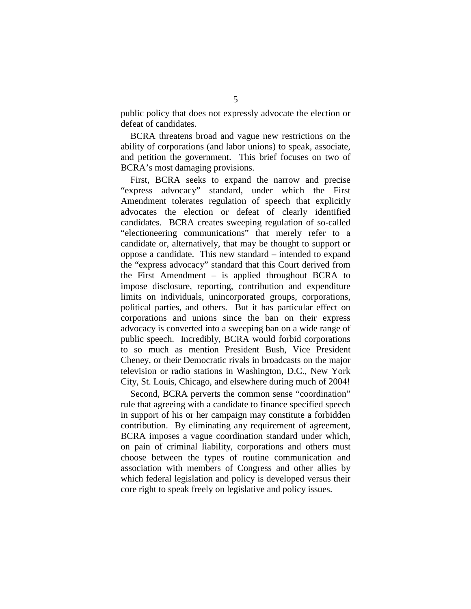public policy that does not expressly advocate the election or defeat of candidates.

BCRA threatens broad and vague new restrictions on the ability of corporations (and labor unions) to speak, associate, and petition the government. This brief focuses on two of BCRA's most damaging provisions.

First, BCRA seeks to expand the narrow and precise "express advocacy" standard, under which the First Amendment tolerates regulation of speech that explicitly advocates the election or defeat of clearly identified candidates. BCRA creates sweeping regulation of so-called "electioneering communications" that merely refer to a candidate or, alternatively, that may be thought to support or oppose a candidate. This new standard – intended to expand the "express advocacy" standard that this Court derived from the First Amendment – is applied throughout BCRA to impose disclosure, reporting, contribution and expenditure limits on individuals, unincorporated groups, corporations, political parties, and others. But it has particular effect on corporations and unions since the ban on their express advocacy is converted into a sweeping ban on a wide range of public speech. Incredibly, BCRA would forbid corporations to so much as mention President Bush, Vice President Cheney, or their Democratic rivals in broadcasts on the major television or radio stations in Washington, D.C., New York City, St. Louis, Chicago, and elsewhere during much of 2004!

Second, BCRA perverts the common sense "coordination" rule that agreeing with a candidate to finance specified speech in support of his or her campaign may constitute a forbidden contribution. By eliminating any requirement of agreement, BCRA imposes a vague coordination standard under which, on pain of criminal liability, corporations and others must choose between the types of routine communication and association with members of Congress and other allies by which federal legislation and policy is developed versus their core right to speak freely on legislative and policy issues.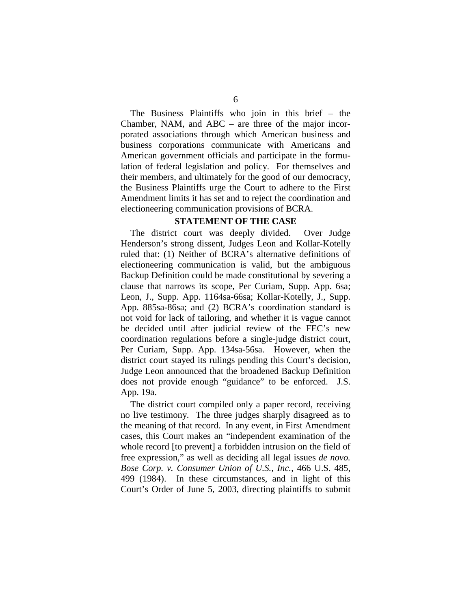The Business Plaintiffs who join in this brief – the Chamber, NAM, and ABC – are three of the major incorporated associations through which American business and business corporations communicate with Americans and American government officials and participate in the formulation of federal legislation and policy. For themselves and their members, and ultimately for the good of our democracy, the Business Plaintiffs urge the Court to adhere to the First Amendment limits it has set and to reject the coordination and electioneering communication provisions of BCRA.

#### **STATEMENT OF THE CASE**

The district court was deeply divided. Over Judge Henderson's strong dissent, Judges Leon and Kollar-Kotelly ruled that: (1) Neither of BCRA's alternative definitions of electioneering communication is valid, but the ambiguous Backup Definition could be made constitutional by severing a clause that narrows its scope, Per Curiam, Supp. App. 6sa; Leon, J., Supp. App. 1164sa-66sa; Kollar-Kotelly, J., Supp. App. 885sa-86sa; and (2) BCRA's coordination standard is not void for lack of tailoring, and whether it is vague cannot be decided until after judicial review of the FEC's new coordination regulations before a single-judge district court, Per Curiam, Supp. App. 134sa-56sa. However, when the district court stayed its rulings pending this Court's decision, Judge Leon announced that the broadened Backup Definition does not provide enough "guidance" to be enforced. J.S. App. 19a.

The district court compiled only a paper record, receiving no live testimony. The three judges sharply disagreed as to the meaning of that record. In any event, in First Amendment cases, this Court makes an "independent examination of the whole record [to prevent] a forbidden intrusion on the field of free expression," as well as deciding all legal issues *de novo. Bose Corp. v. Consumer Union of U.S., Inc.*, 466 U.S. 485, 499 (1984). In these circumstances, and in light of this Court's Order of June 5, 2003, directing plaintiffs to submit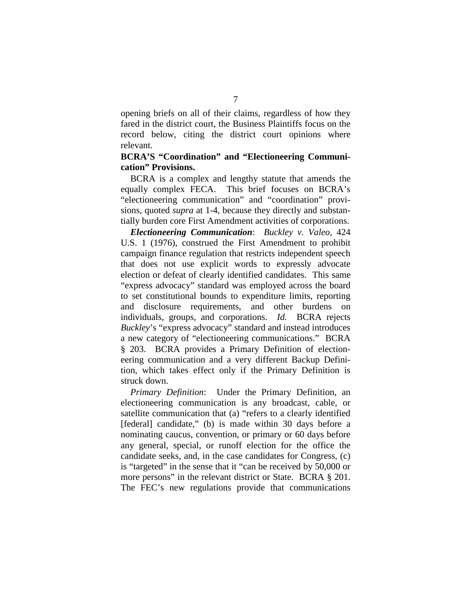opening briefs on all of their claims, regardless of how they fared in the district court, the Business Plaintiffs focus on the record below, citing the district court opinions where relevant.

## **BCRA'S "Coordination" and "Electioneering Communication" Provisions.**

BCRA is a complex and lengthy statute that amends the equally complex FECA. This brief focuses on BCRA's "electioneering communication" and "coordination" provisions, quoted *supra* at 1-4, because they directly and substantially burden core First Amendment activities of corporations.

*Electioneering Communication*: *Buckley v. Valeo*, 424 U.S. 1 (1976), construed the First Amendment to prohibit campaign finance regulation that restricts independent speech that does not use explicit words to expressly advocate election or defeat of clearly identified candidates. This same "express advocacy" standard was employed across the board to set constitutional bounds to expenditure limits, reporting and disclosure requirements, and other burdens on individuals, groups, and corporations. *Id.* BCRA rejects *Buckley*'s "express advocacy" standard and instead introduces a new category of "electioneering communications." BCRA § 203. BCRA provides a Primary Definition of electioneering communication and a very different Backup Definition, which takes effect only if the Primary Definition is struck down.

*Primary Definition*: Under the Primary Definition, an electioneering communication is any broadcast, cable, or satellite communication that (a) "refers to a clearly identified [federal] candidate," (b) is made within 30 days before a nominating caucus, convention, or primary or 60 days before any general, special, or runoff election for the office the candidate seeks, and, in the case candidates for Congress, (c) is "targeted" in the sense that it "can be received by 50,000 or more persons" in the relevant district or State. BCRA § 201. The FEC's new regulations provide that communications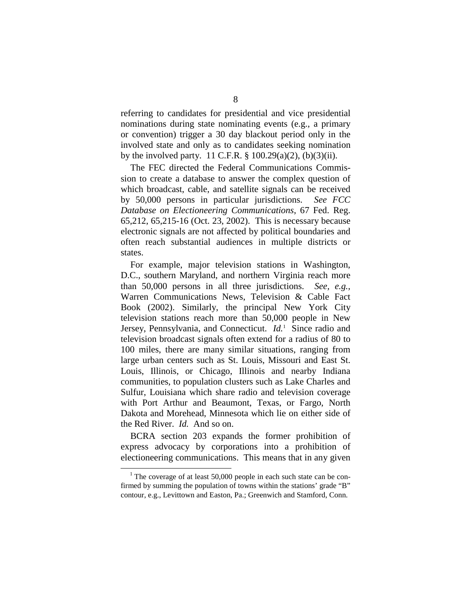referring to candidates for presidential and vice presidential nominations during state nominating events (e.g., a primary or convention) trigger a 30 day blackout period only in the involved state and only as to candidates seeking nomination by the involved party. 11 C.F.R. § 100.29(a)(2), (b)(3)(ii).

The FEC directed the Federal Communications Commission to create a database to answer the complex question of which broadcast, cable, and satellite signals can be received by 50,000 persons in particular jurisdictions. *See FCC Database on Electioneering Communications*, 67 Fed. Reg. 65,212, 65,215-16 (Oct. 23, 2002). This is necessary because electronic signals are not affected by political boundaries and often reach substantial audiences in multiple districts or states.

For example, major television stations in Washington, D.C., southern Maryland, and northern Virginia reach more than 50,000 persons in all three jurisdictions. *See, e.g.*, Warren Communications News, Television & Cable Fact Book (2002). Similarly, the principal New York City television stations reach more than 50,000 people in New Jersey, Pennsylvania, and Connecticut. *Id.*1 Since radio and television broadcast signals often extend for a radius of 80 to 100 miles, there are many similar situations, ranging from large urban centers such as St. Louis, Missouri and East St. Louis, Illinois, or Chicago, Illinois and nearby Indiana communities, to population clusters such as Lake Charles and Sulfur, Louisiana which share radio and television coverage with Port Arthur and Beaumont, Texas, or Fargo, North Dakota and Morehead, Minnesota which lie on either side of the Red River. *Id.* And so on.

BCRA section 203 expands the former prohibition of express advocacy by corporations into a prohibition of electioneering communications. This means that in any given

 $1$ <sup>1</sup> The coverage of at least 50,000 people in each such state can be confirmed by summing the population of towns within the stations' grade "B" contour, e.g., Levittown and Easton, Pa.; Greenwich and Stamford, Conn.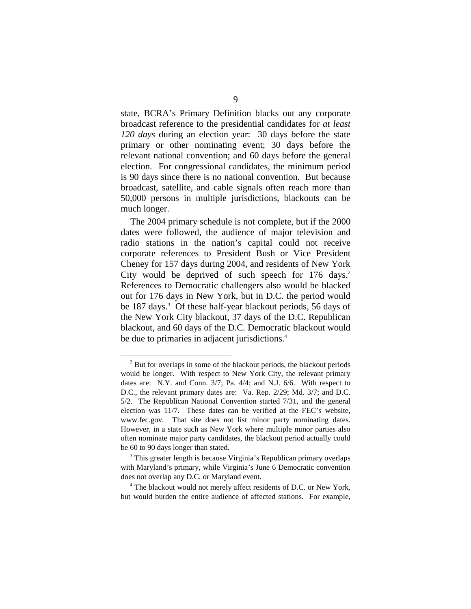state, BCRA's Primary Definition blacks out any corporate broadcast reference to the presidential candidates for *at least 120 days* during an election year: 30 days before the state primary or other nominating event; 30 days before the relevant national convention; and 60 days before the general election. For congressional candidates, the minimum period is 90 days since there is no national convention. But because broadcast, satellite, and cable signals often reach more than 50,000 persons in multiple jurisdictions, blackouts can be much longer.

The 2004 primary schedule is not complete, but if the 2000 dates were followed, the audience of major television and radio stations in the nation's capital could not receive corporate references to President Bush or Vice President Cheney for 157 days during 2004, and residents of New York City would be deprived of such speech for 176 days. 2 References to Democratic challengers also would be blacked out for 176 days in New York, but in D.C. the period would be 187 days. 3 Of these half-year blackout periods, 56 days of the New York City blackout, 37 days of the D.C. Republican blackout, and 60 days of the D.C. Democratic blackout would be due to primaries in adjacent jurisdictions.<sup>4</sup>

<sup>4</sup> The blackout would not merely affect residents of D.C. or New York, but would burden the entire audience of affected stations. For example,

 $2^{2}$  But for overlaps in some of the blackout periods, the blackout periods would be longer. With respect to New York City, the relevant primary dates are: N.Y. and Conn. 3/7; Pa. 4/4; and N.J. 6/6. With respect to D.C., the relevant primary dates are: Va. Rep. 2/29; Md. 3/7; and D.C. 5/2. The Republican National Convention started 7/31, and the general election was 11/7. These dates can be verified at the FEC's website, www.fec.gov. That site does not list minor party nominating dates. However, in a state such as New York where multiple minor parties also often nominate major party candidates, the blackout period actually could be 60 to 90 days longer than stated.

 $3$  This greater length is because Virginia's Republican primary overlaps with Maryland's primary, while Virginia's June 6 Democratic convention does not overlap any D.C. or Maryland event. 4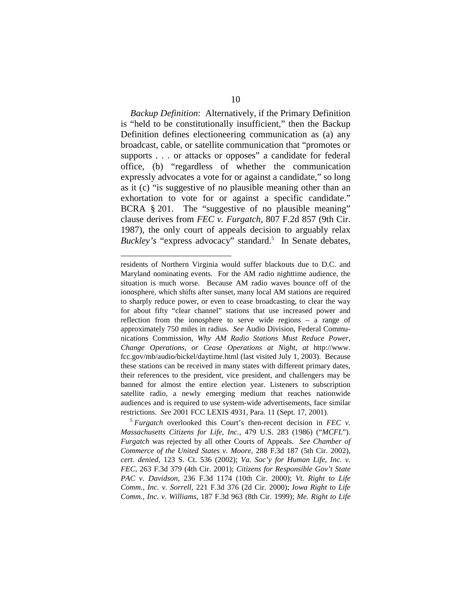*Backup Definition*: Alternatively, if the Primary Definition is "held to be constitutionally insufficient," then the Backup Definition defines electioneering communication as (a) any broadcast, cable, or satellite communication that "promotes or supports . . . or attacks or opposes" a candidate for federal office, (b) "regardless of whether the communication expressly advocates a vote for or against a candidate," so long as it (c) "is suggestive of no plausible meaning other than an exhortation to vote for or against a specific candidate." BCRA § 201. The "suggestive of no plausible meaning" clause derives from *FEC v. Furgatch*, 807 F.2d 857 (9th Cir. 1987), the only court of appeals decision to arguably relax *Buckley's* "express advocacy" standard.<sup>5</sup> In Senate debates,

*Massachusetts Citizens for Life, Inc.*, 479 U.S. 283 (1986) ("*MCFL*"). *Furgatch* was rejected by all other Courts of Appeals. *See Chamber of Commerce of the United States v. Moore*, 288 F.3d 187 (5th Cir. 2002), *cert. denied*, 123 S. Ct. 536 (2002); *Va. Soc'y for Human Life, Inc. v. FEC*, 263 F.3d 379 (4th Cir. 2001); *Citizens for Responsible Gov't State PAC v. Davidson*, 236 F.3d 1174 (10th Cir. 2000); *Vt. Right to Life Comm., Inc. v. Sorrell*, 221 F.3d 376 (2d Cir. 2000); *Iowa Right to Life Comm., Inc. v. Williams*, 187 F.3d 963 (8th Cir. 1999); *Me. Right to Life* 

residents of Northern Virginia would suffer blackouts due to D.C. and Maryland nominating events. For the AM radio nighttime audience, the situation is much worse. Because AM radio waves bounce off of the ionosphere, which shifts after sunset, many local AM stations are required to sharply reduce power, or even to cease broadcasting, to clear the way for about fifty "clear channel" stations that use increased power and reflection from the ionosphere to serve wide regions – a range of approximately 750 miles in radius. *See* Audio Division, Federal Communications Commission, *Why AM Radio Stations Must Reduce Power, Change Operations, or Cease Operations at Night*, *at* http://www. fcc.gov/mb/audio/bickel/daytime.html (last visited July 1, 2003). Because these stations can be received in many states with different primary dates, their references to the president, vice president, and challengers may be banned for almost the entire election year. Listeners to subscription satellite radio, a newly emerging medium that reaches nationwide audiences and is required to use system-wide advertisements, face similar restrictions. *See* 2001 FCC LEXIS 4931, Para. 11 (Sept. 17, 2001). 5 *Furgatch* overlooked this Court's then-recent decision in *FEC v.*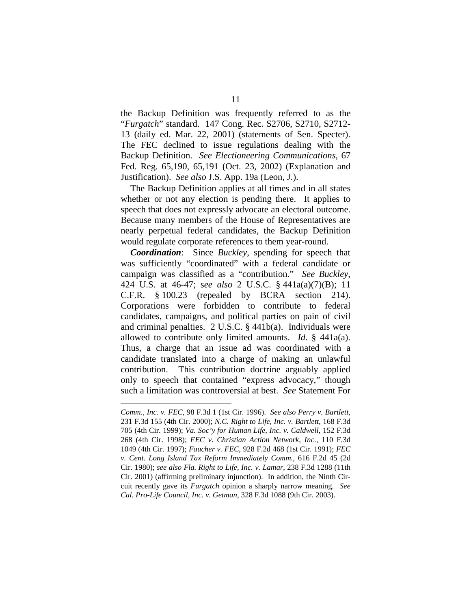the Backup Definition was frequently referred to as the "*Furgatch*" standard. 147 Cong. Rec. S2706, S2710, S2712- 13 (daily ed. Mar. 22, 2001) (statements of Sen. Specter). The FEC declined to issue regulations dealing with the Backup Definition. *See Electioneering Communications*, 67 Fed. Reg. 65,190, 65,191 (Oct. 23, 2002) (Explanation and Justification). *See also* J.S. App. 19a (Leon, J.).

The Backup Definition applies at all times and in all states whether or not any election is pending there. It applies to speech that does not expressly advocate an electoral outcome. Because many members of the House of Representatives are nearly perpetual federal candidates, the Backup Definition would regulate corporate references to them year-round.

*Coordination*: Since *Buckley*, spending for speech that was sufficiently "coordinated" with a federal candidate or campaign was classified as a "contribution." *See Buckley*, 424 U.S. at 46-47; s*ee also* 2 U.S.C. § 441a(a)(7)(B); 11 C.F.R. § 100.23 (repealed by BCRA section 214). Corporations were forbidden to contribute to federal candidates, campaigns, and political parties on pain of civil and criminal penalties. 2 U.S.C. § 441b(a). Individuals were allowed to contribute only limited amounts. *Id*. § 441a(a). Thus, a charge that an issue ad was coordinated with a candidate translated into a charge of making an unlawful contribution. This contribution doctrine arguably applied only to speech that contained "express advocacy," though such a limitation was controversial at best. *See* Statement For

*Comm., Inc. v. FEC*, 98 F.3d 1 (1st Cir. 1996). *See also Perry v. Bartlett*, 231 F.3d 155 (4th Cir. 2000); *N.C. Right to Life, Inc. v. Bartlett*, 168 F.3d 705 (4th Cir. 1999); *Va. Soc'y for Human Life, Inc. v. Caldwell*, 152 F.3d 268 (4th Cir. 1998); *FEC v. Christian Action Network, Inc.*, 110 F.3d 1049 (4th Cir. 1997); *Faucher v. FEC*, 928 F.2d 468 (1st Cir. 1991); *FEC v. Cent. Long Island Tax Reform Immediately Comm.*, 616 F.2d 45 (2d Cir. 1980); *see also Fla. Right to Life, Inc. v. Lamar*, 238 F.3d 1288 (11th Cir. 2001) (affirming preliminary injunction). In addition, the Ninth Circuit recently gave its *Furgatch* opinion a sharply narrow meaning. *See Cal. Pro-Life Council, Inc. v. Getman*, 328 F.3d 1088 (9th Cir. 2003).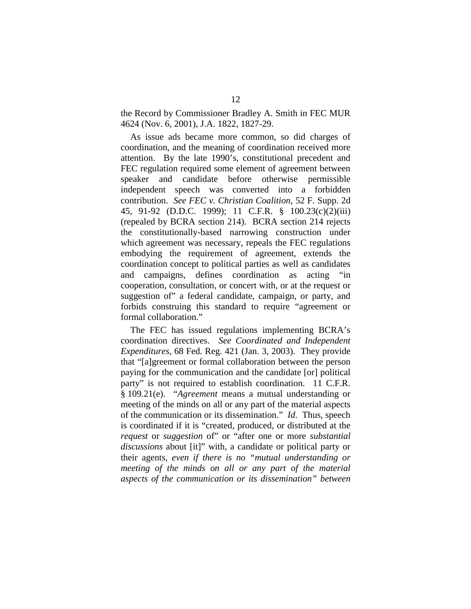the Record by Commissioner Bradley A. Smith in FEC MUR 4624 (Nov. 6, 2001), J.A. 1822, 1827-29.

As issue ads became more common, so did charges of coordination, and the meaning of coordination received more attention. By the late 1990's, constitutional precedent and FEC regulation required some element of agreement between speaker and candidate before otherwise permissible independent speech was converted into a forbidden contribution. *See FEC v. Christian Coalition*, 52 F. Supp. 2d 45, 91-92 (D.D.C. 1999); 11 C.F.R. § 100.23(c)(2)(iii) (repealed by BCRA section 214). BCRA section 214 rejects the constitutionally-based narrowing construction under which agreement was necessary, repeals the FEC regulations embodying the requirement of agreement, extends the coordination concept to political parties as well as candidates and campaigns, defines coordination as acting "in cooperation, consultation, or concert with, or at the request or suggestion of" a federal candidate, campaign, or party, and forbids construing this standard to require "agreement or formal collaboration."

The FEC has issued regulations implementing BCRA's coordination directives. *See Coordinated and Independent Expenditures*, 68 Fed. Reg. 421 (Jan. 3, 2003). They provide that "[a]greement or formal collaboration between the person paying for the communication and the candidate [or] political party" is not required to establish coordination. 11 C.F.R. § 109.21(e). "*Agreement* means a mutual understanding or meeting of the minds on all or any part of the material aspects of the communication or its dissemination." *Id*. Thus, speech is coordinated if it is "created, produced, or distributed at the *request* or *suggestion* of" or "after one or more *substantial discussions* about [it]" with, a candidate or political party or their agents, *even if there is no "mutual understanding or meeting of the minds on all or any part of the material aspects of the communication or its dissemination" between*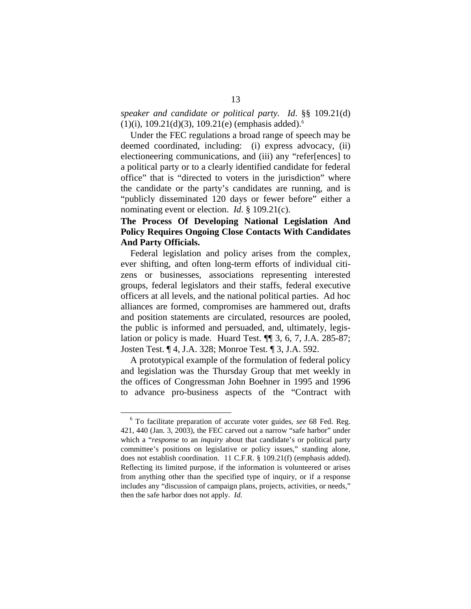*speaker and candidate or political party. Id*. §§ 109.21(d)  $(1)(i)$ , 109.21(d)(3), 109.21(e) (emphasis added).<sup>6</sup>

Under the FEC regulations a broad range of speech may be deemed coordinated, including: (i) express advocacy, (ii) electioneering communications, and (iii) any "refer[ences] to a political party or to a clearly identified candidate for federal office" that is "directed to voters in the jurisdiction" where the candidate or the party's candidates are running, and is "publicly disseminated 120 days or fewer before" either a nominating event or election. *Id*. § 109.21(c).

# **The Process Of Developing National Legislation And Policy Requires Ongoing Close Contacts With Candidates And Party Officials.**

Federal legislation and policy arises from the complex, ever shifting, and often long-term efforts of individual citizens or businesses, associations representing interested groups, federal legislators and their staffs, federal executive officers at all levels, and the national political parties. Ad hoc alliances are formed, compromises are hammered out, drafts and position statements are circulated, resources are pooled, the public is informed and persuaded, and, ultimately, legislation or policy is made. Huard Test. ¶¶ 3, 6, 7, J.A. 285-87; Josten Test. ¶ 4, J.A. 328; Monroe Test. ¶ 3, J.A. 592.

A prototypical example of the formulation of federal policy and legislation was the Thursday Group that met weekly in the offices of Congressman John Boehner in 1995 and 1996 to advance pro-business aspects of the "Contract with

<sup>6</sup> To facilitate preparation of accurate voter guides, *see* 68 Fed. Reg. 421, 440 (Jan. 3, 2003), the FEC carved out a narrow "safe harbor" under which a "*response* to an *inquiry* about that candidate's or political party committee's positions on legislative or policy issues," standing alone, does not establish coordination. 11 C.F.R. § 109.21(f) (emphasis added). Reflecting its limited purpose, if the information is volunteered or arises from anything other than the specified type of inquiry, or if a response includes any "discussion of campaign plans, projects, activities, or needs," then the safe harbor does not apply. *Id.*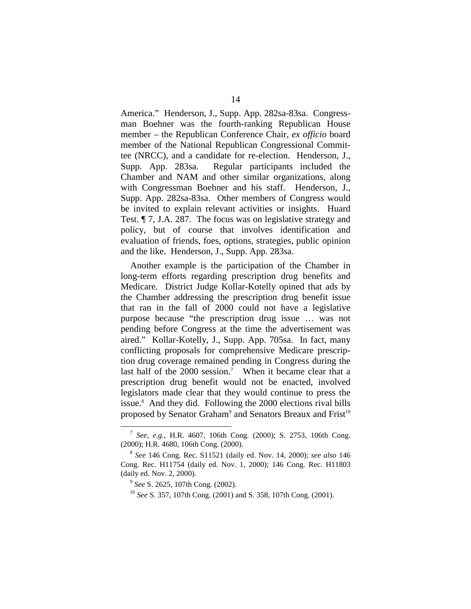America." Henderson, J., Supp. App. 282sa-83sa. Congressman Boehner was the fourth-ranking Republican House member – the Republican Conference Chair, *ex officio* board member of the National Republican Congressional Committee (NRCC), and a candidate for re-election. Henderson, J., Supp. App. 283sa. Regular participants included the Chamber and NAM and other similar organizations, along with Congressman Boehner and his staff. Henderson, J., Supp. App. 282sa-83sa. Other members of Congress would be invited to explain relevant activities or insights. Huard Test. ¶ 7, J.A. 287. The focus was on legislative strategy and policy, but of course that involves identification and evaluation of friends, foes, options, strategies, public opinion and the like. Henderson, J., Supp. App. 283sa.

Another example is the participation of the Chamber in long-term efforts regarding prescription drug benefits and Medicare. District Judge Kollar-Kotelly opined that ads by the Chamber addressing the prescription drug benefit issue that ran in the fall of 2000 could not have a legislative purpose because "the prescription drug issue … was not pending before Congress at the time the advertisement was aired." Kollar-Kotelly, J., Supp. App. 705sa. In fact, many conflicting proposals for comprehensive Medicare prescription drug coverage remained pending in Congress during the last half of the  $2000$  session.<sup>7</sup> When it became clear that a prescription drug benefit would not be enacted, involved legislators made clear that they would continue to press the issue.8 And they did. Following the 2000 elections rival bills proposed by Senator Graham<sup>9</sup> and Senators Breaux and Frist<sup>10</sup>

<sup>7</sup>*See, e.g.,* H.R. 4607, 106th Cong. (2000); S. 2753, 106th Cong.

<sup>&</sup>lt;sup>8</sup> See 146 Cong. Rec. S11521 (daily ed. Nov. 14, 2000); *see also* 146 Cong. Rec. H11754 (daily ed. Nov. 1, 2000); 146 Cong. Rec. H11803 (daily ed. Nov. 2, 2000). 9 *See* S. 2625, 107th Cong. (2002). 10 *See* S. 357, 107th Cong. (2001) and S. 358, 107th Cong. (2001).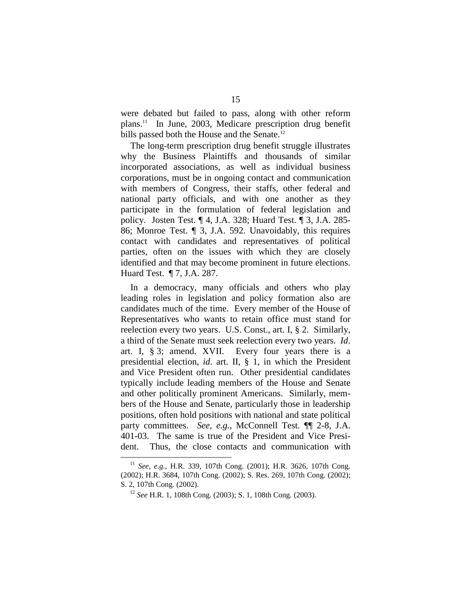were debated but failed to pass, along with other reform plans.11 In June, 2003, Medicare prescription drug benefit bills passed both the House and the Senate.<sup>12</sup>

The long-term prescription drug benefit struggle illustrates why the Business Plaintiffs and thousands of similar incorporated associations, as well as individual business corporations, must be in ongoing contact and communication with members of Congress, their staffs, other federal and national party officials, and with one another as they participate in the formulation of federal legislation and policy. Josten Test. ¶ 4, J.A. 328; Huard Test. ¶ 3, J.A. 285- 86; Monroe Test. ¶ 3, J.A. 592. Unavoidably, this requires contact with candidates and representatives of political parties, often on the issues with which they are closely identified and that may become prominent in future elections. Huard Test. ¶ 7, J.A. 287.

In a democracy, many officials and others who play leading roles in legislation and policy formation also are candidates much of the time. Every member of the House of Representatives who wants to retain office must stand for reelection every two years. U.S. Const., art. I, § 2. Similarly, a third of the Senate must seek reelection every two years. *Id*. art. I, § 3; amend. XVII. Every four years there is a presidential election, *id*. art. II, § 1, in which the President and Vice President often run. Other presidential candidates typically include leading members of the House and Senate and other politically prominent Americans. Similarly, members of the House and Senate, particularly those in leadership positions, often hold positions with national and state political party committees. *See, e.g.*, McConnell Test. **[14** 2-8, J.A. 401-03. The same is true of the President and Vice President. Thus, the close contacts and communication with

<sup>11</sup>*See, e.g.*, H.R. 339, 107th Cong. (2001); H.R. 3626, 107th Cong. (2002); H.R. 3684, 107th Cong. (2002); S. Res. 269, 107th Cong. (2002); S. 2, 107th Cong. (2002). 12 *See* H.R. 1, 108th Cong. (2003); S. 1, 108th Cong. (2003).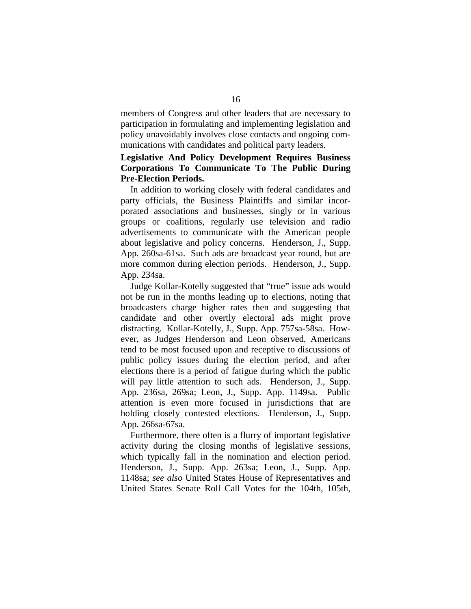members of Congress and other leaders that are necessary to participation in formulating and implementing legislation and policy unavoidably involves close contacts and ongoing communications with candidates and political party leaders.

# **Legislative And Policy Development Requires Business Corporations To Communicate To The Public During Pre-Election Periods.**

In addition to working closely with federal candidates and party officials, the Business Plaintiffs and similar incorporated associations and businesses, singly or in various groups or coalitions, regularly use television and radio advertisements to communicate with the American people about legislative and policy concerns. Henderson, J., Supp. App. 260sa-61sa. Such ads are broadcast year round, but are more common during election periods. Henderson, J., Supp. App. 234sa.

Judge Kollar-Kotelly suggested that "true" issue ads would not be run in the months leading up to elections, noting that broadcasters charge higher rates then and suggesting that candidate and other overtly electoral ads might prove distracting. Kollar-Kotelly, J., Supp. App. 757sa-58sa. However, as Judges Henderson and Leon observed, Americans tend to be most focused upon and receptive to discussions of public policy issues during the election period, and after elections there is a period of fatigue during which the public will pay little attention to such ads. Henderson, J., Supp. App. 236sa, 269sa; Leon, J., Supp. App. 1149sa. Public attention is even more focused in jurisdictions that are holding closely contested elections. Henderson, J., Supp. App. 266sa-67sa.

Furthermore, there often is a flurry of important legislative activity during the closing months of legislative sessions, which typically fall in the nomination and election period. Henderson, J., Supp. App. 263sa; Leon, J., Supp. App. 1148sa; *see also* United States House of Representatives and United States Senate Roll Call Votes for the 104th, 105th,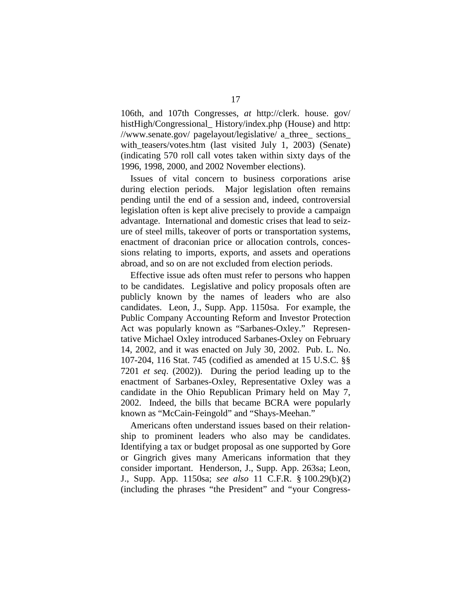106th, and 107th Congresses, *at* http://clerk. house. gov/ histHigh/Congressional\_ History/index.php (House) and http: //www.senate.gov/ pagelayout/legislative/ a\_three\_ sections\_ with teasers/votes.htm (last visited July 1, 2003) (Senate) (indicating 570 roll call votes taken within sixty days of the 1996, 1998, 2000, and 2002 November elections).

Issues of vital concern to business corporations arise during election periods. Major legislation often remains pending until the end of a session and, indeed, controversial legislation often is kept alive precisely to provide a campaign advantage. International and domestic crises that lead to seizure of steel mills, takeover of ports or transportation systems, enactment of draconian price or allocation controls, concessions relating to imports, exports, and assets and operations abroad, and so on are not excluded from election periods.

Effective issue ads often must refer to persons who happen to be candidates. Legislative and policy proposals often are publicly known by the names of leaders who are also candidates. Leon, J., Supp. App. 1150sa. For example, the Public Company Accounting Reform and Investor Protection Act was popularly known as "Sarbanes-Oxley." Representative Michael Oxley introduced Sarbanes-Oxley on February 14, 2002, and it was enacted on July 30, 2002. Pub. L. No. 107-204, 116 Stat. 745 (codified as amended at 15 U.S.C. §§ 7201 *et seq*. (2002)). During the period leading up to the enactment of Sarbanes-Oxley, Representative Oxley was a candidate in the Ohio Republican Primary held on May 7, 2002. Indeed, the bills that became BCRA were popularly known as "McCain-Feingold" and "Shays-Meehan."

Americans often understand issues based on their relationship to prominent leaders who also may be candidates. Identifying a tax or budget proposal as one supported by Gore or Gingrich gives many Americans information that they consider important. Henderson, J., Supp. App. 263sa; Leon, J., Supp. App. 1150sa; *see also* 11 C.F.R. § 100.29(b)(2) (including the phrases "the President" and "your Congress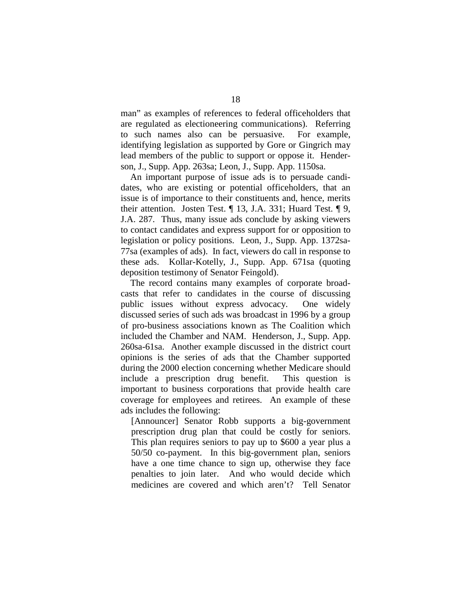man" as examples of references to federal officeholders that are regulated as electioneering communications). Referring to such names also can be persuasive. For example, identifying legislation as supported by Gore or Gingrich may lead members of the public to support or oppose it. Henderson, J., Supp. App. 263sa; Leon, J., Supp. App. 1150sa.

An important purpose of issue ads is to persuade candidates, who are existing or potential officeholders, that an issue is of importance to their constituents and, hence, merits their attention. Josten Test. ¶ 13, J.A. 331; Huard Test. ¶ 9, J.A. 287. Thus, many issue ads conclude by asking viewers to contact candidates and express support for or opposition to legislation or policy positions. Leon, J., Supp. App. 1372sa-77sa (examples of ads). In fact, viewers do call in response to these ads. Kollar-Kotelly, J., Supp. App. 671sa (quoting deposition testimony of Senator Feingold).

The record contains many examples of corporate broadcasts that refer to candidates in the course of discussing public issues without express advocacy. One widely discussed series of such ads was broadcast in 1996 by a group of pro-business associations known as The Coalition which included the Chamber and NAM. Henderson, J., Supp. App. 260sa-61sa. Another example discussed in the district court opinions is the series of ads that the Chamber supported during the 2000 election concerning whether Medicare should include a prescription drug benefit. This question is important to business corporations that provide health care coverage for employees and retirees. An example of these ads includes the following:

[Announcer] Senator Robb supports a big-government prescription drug plan that could be costly for seniors. This plan requires seniors to pay up to \$600 a year plus a 50/50 co-payment. In this big-government plan, seniors have a one time chance to sign up, otherwise they face penalties to join later. And who would decide which medicines are covered and which aren't? Tell Senator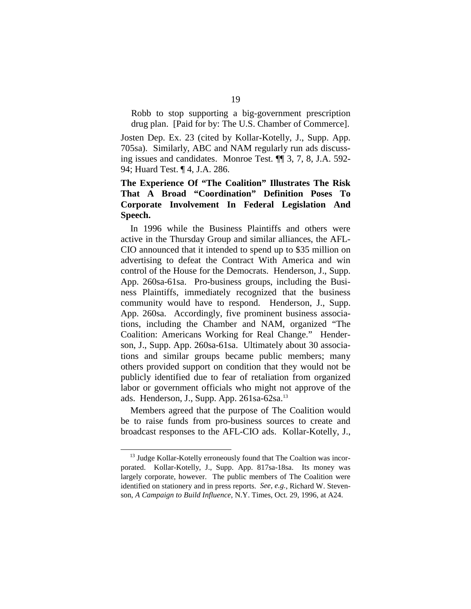Robb to stop supporting a big-government prescription drug plan. [Paid for by: The U.S. Chamber of Commerce].

Josten Dep. Ex. 23 (cited by Kollar-Kotelly, J., Supp. App. 705sa). Similarly, ABC and NAM regularly run ads discussing issues and candidates. Monroe Test. ¶¶ 3, 7, 8, J.A. 592- 94; Huard Test. ¶ 4, J.A. 286.

# **The Experience Of "The Coalition" Illustrates The Risk That A Broad "Coordination" Definition Poses To Corporate Involvement In Federal Legislation And Speech.**

In 1996 while the Business Plaintiffs and others were active in the Thursday Group and similar alliances, the AFL-CIO announced that it intended to spend up to \$35 million on advertising to defeat the Contract With America and win control of the House for the Democrats. Henderson, J., Supp. App. 260sa-61sa. Pro-business groups, including the Business Plaintiffs, immediately recognized that the business community would have to respond. Henderson, J., Supp. App. 260sa. Accordingly, five prominent business associations, including the Chamber and NAM, organized "The Coalition: Americans Working for Real Change." Henderson, J., Supp. App. 260sa-61sa. Ultimately about 30 associations and similar groups became public members; many others provided support on condition that they would not be publicly identified due to fear of retaliation from organized labor or government officials who might not approve of the ads. Henderson, J., Supp. App. 261sa-62sa.13

Members agreed that the purpose of The Coalition would be to raise funds from pro-business sources to create and broadcast responses to the AFL-CIO ads. Kollar-Kotelly, J.,

<sup>&</sup>lt;sup>13</sup> Judge Kollar-Kotelly erroneously found that The Coaltion was incorporated. Kollar-Kotelly, J., Supp. App. 817sa-18sa. Its money was largely corporate, however. The public members of The Coalition were identified on stationery and in press reports. *See, e.g.*, Richard W. Stevenson, *A Campaign to Build Influence*, N.Y. Times, Oct. 29, 1996, at A24.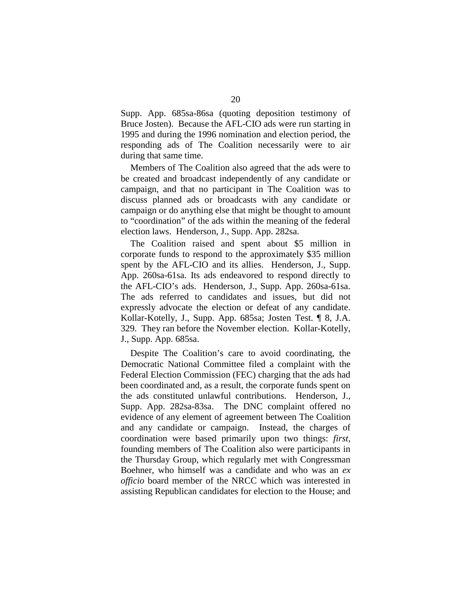Supp. App. 685sa-86sa (quoting deposition testimony of Bruce Josten). Because the AFL-CIO ads were run starting in 1995 and during the 1996 nomination and election period, the responding ads of The Coalition necessarily were to air during that same time.

Members of The Coalition also agreed that the ads were to be created and broadcast independently of any candidate or campaign, and that no participant in The Coalition was to discuss planned ads or broadcasts with any candidate or campaign or do anything else that might be thought to amount to "coordination" of the ads within the meaning of the federal election laws. Henderson, J., Supp. App. 282sa.

The Coalition raised and spent about \$5 million in corporate funds to respond to the approximately \$35 million spent by the AFL-CIO and its allies. Henderson, J., Supp. App. 260sa-61sa. Its ads endeavored to respond directly to the AFL-CIO's ads. Henderson, J., Supp. App. 260sa-61sa. The ads referred to candidates and issues, but did not expressly advocate the election or defeat of any candidate. Kollar-Kotelly, J., Supp. App. 685sa; Josten Test. ¶ 8, J.A. 329. They ran before the November election. Kollar-Kotelly, J., Supp. App. 685sa.

Despite The Coalition's care to avoid coordinating, the Democratic National Committee filed a complaint with the Federal Election Commission (FEC) charging that the ads had been coordinated and, as a result, the corporate funds spent on the ads constituted unlawful contributions. Henderson, J., Supp. App. 282sa-83sa. The DNC complaint offered no evidence of any element of agreement between The Coalition and any candidate or campaign. Instead, the charges of coordination were based primarily upon two things: *first*, founding members of The Coalition also were participants in the Thursday Group, which regularly met with Congressman Boehner, who himself was a candidate and who was an *ex officio* board member of the NRCC which was interested in assisting Republican candidates for election to the House; and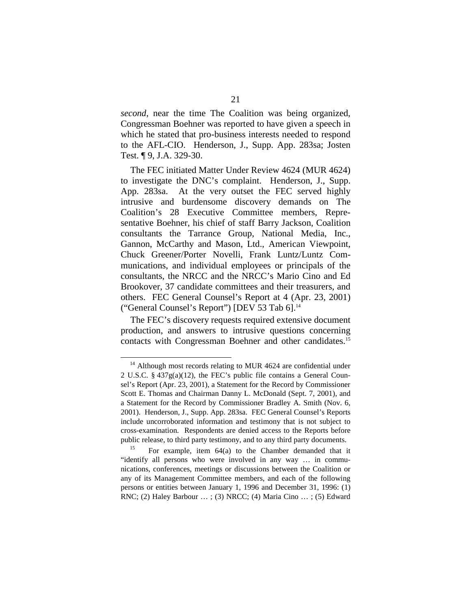*second*, near the time The Coalition was being organized, Congressman Boehner was reported to have given a speech in which he stated that pro-business interests needed to respond to the AFL-CIO. Henderson, J., Supp. App. 283sa; Josten Test. ¶ 9, J.A. 329-30.

The FEC initiated Matter Under Review 4624 (MUR 4624) to investigate the DNC's complaint. Henderson, J., Supp. App. 283sa. At the very outset the FEC served highly intrusive and burdensome discovery demands on The Coalition's 28 Executive Committee members, Representative Boehner, his chief of staff Barry Jackson, Coalition consultants the Tarrance Group, National Media, Inc., Gannon, McCarthy and Mason, Ltd., American Viewpoint, Chuck Greener/Porter Novelli, Frank Luntz/Luntz Communications, and individual employees or principals of the consultants, the NRCC and the NRCC's Mario Cino and Ed Brookover, 37 candidate committees and their treasurers, and others. FEC General Counsel's Report at 4 (Apr. 23, 2001) ("General Counsel's Report") [DEV 53 Tab 6]. 14

The FEC's discovery requests required extensive document production, and answers to intrusive questions concerning contacts with Congressman Boehner and other candidates.<sup>15</sup>

<sup>&</sup>lt;sup>14</sup> Although most records relating to MUR 4624 are confidential under 2 U.S.C. § 437g(a)(12), the FEC's public file contains a General Counsel's Report (Apr. 23, 2001), a Statement for the Record by Commissioner Scott E. Thomas and Chairman Danny L. McDonald (Sept. 7, 2001), and a Statement for the Record by Commissioner Bradley A. Smith (Nov. 6, 2001). Henderson, J., Supp. App. 283sa. FEC General Counsel's Reports include uncorroborated information and testimony that is not subject to cross-examination. Respondents are denied access to the Reports before public release, to third party testimony, and to any third party documents.<br><sup>15</sup> For example, item 64(a) to the Chamber demanded that it

<sup>&</sup>quot;identify all persons who were involved in any way … in communications, conferences, meetings or discussions between the Coalition or any of its Management Committee members, and each of the following persons or entities between January 1, 1996 and December 31, 1996: (1) RNC; (2) Haley Barbour … ; (3) NRCC; (4) Maria Cino … ; (5) Edward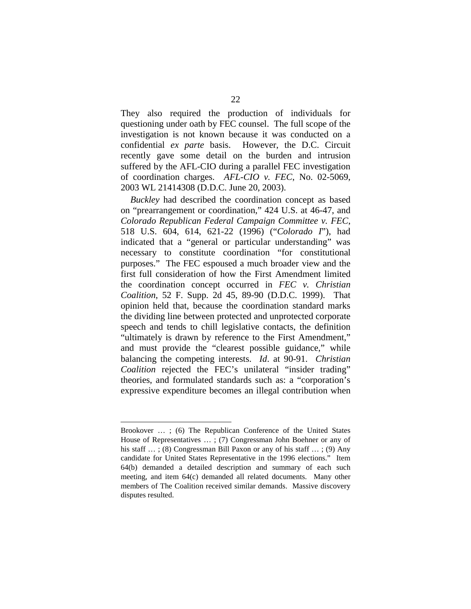They also required the production of individuals for questioning under oath by FEC counsel. The full scope of the investigation is not known because it was conducted on a confidential *ex parte* basis. However, the D.C. Circuit recently gave some detail on the burden and intrusion suffered by the AFL-CIO during a parallel FEC investigation of coordination charges. *AFL-CIO v. FEC*, No. 02-5069, 2003 WL 21414308 (D.D.C. June 20, 2003).

*Buckley* had described the coordination concept as based on "prearrangement or coordination," 424 U.S. at 46-47, and *Colorado Republican Federal Campaign Committee v. FEC*, 518 U.S. 604, 614, 621-22 (1996) ("*Colorado I*"), had indicated that a "general or particular understanding" was necessary to constitute coordination "for constitutional purposes." The FEC espoused a much broader view and the first full consideration of how the First Amendment limited the coordination concept occurred in *FEC v. Christian Coalition*, 52 F. Supp. 2d 45, 89-90 (D.D.C. 1999). That opinion held that, because the coordination standard marks the dividing line between protected and unprotected corporate speech and tends to chill legislative contacts, the definition "ultimately is drawn by reference to the First Amendment," and must provide the "clearest possible guidance," while balancing the competing interests. *Id*. at 90-91. *Christian Coalition* rejected the FEC's unilateral "insider trading" theories, and formulated standards such as: a "corporation's expressive expenditure becomes an illegal contribution when

Brookover … ; (6) The Republican Conference of the United States House of Representatives … ; (7) Congressman John Boehner or any of his staff ...; (8) Congressman Bill Paxon or any of his staff ...; (9) Any candidate for United States Representative in the 1996 elections." Item 64(b) demanded a detailed description and summary of each such meeting, and item 64(c) demanded all related documents. Many other members of The Coalition received similar demands. Massive discovery disputes resulted.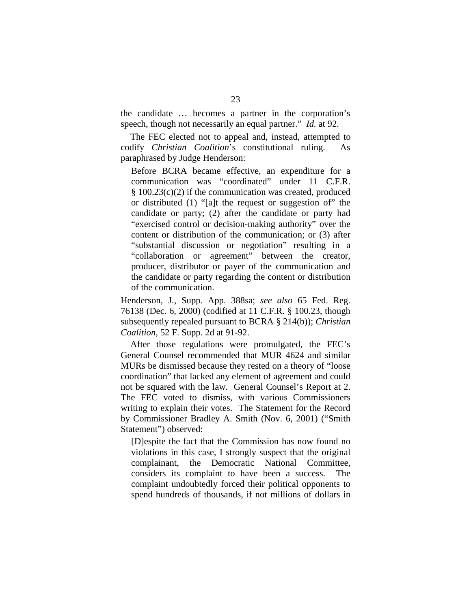the candidate … becomes a partner in the corporation's speech, though not necessarily an equal partner." *Id.* at 92.

The FEC elected not to appeal and, instead, attempted to codify *Christian Coalition*'s constitutional ruling. As paraphrased by Judge Henderson:

Before BCRA became effective, an expenditure for a communication was "coordinated" under 11 C.F.R. § 100.23(c)(2) if the communication was created, produced or distributed (1) "[a]t the request or suggestion of" the candidate or party; (2) after the candidate or party had "exercised control or decision-making authority" over the content or distribution of the communication; or (3) after "substantial discussion or negotiation" resulting in a "collaboration or agreement" between the creator, producer, distributor or payer of the communication and the candidate or party regarding the content or distribution of the communication.

Henderson, J., Supp. App. 388sa; *see also* 65 Fed. Reg. 76138 (Dec. 6, 2000) (codified at 11 C.F.R. § 100.23, though subsequently repealed pursuant to BCRA § 214(b)); *Christian Coalition*, 52 F. Supp. 2d at 91-92.

After those regulations were promulgated, the FEC's General Counsel recommended that MUR 4624 and similar MURs be dismissed because they rested on a theory of "loose coordination" that lacked any element of agreement and could not be squared with the law. General Counsel's Report at 2. The FEC voted to dismiss, with various Commissioners writing to explain their votes. The Statement for the Record by Commissioner Bradley A. Smith (Nov. 6, 2001) ("Smith Statement") observed:

[D]espite the fact that the Commission has now found no violations in this case, I strongly suspect that the original complainant, the Democratic National Committee, considers its complaint to have been a success. The complaint undoubtedly forced their political opponents to spend hundreds of thousands, if not millions of dollars in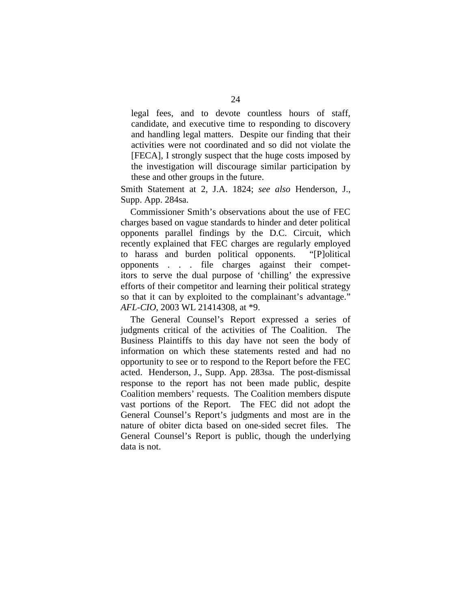legal fees, and to devote countless hours of staff, candidate, and executive time to responding to discovery and handling legal matters. Despite our finding that their activities were not coordinated and so did not violate the [FECA], I strongly suspect that the huge costs imposed by the investigation will discourage similar participation by these and other groups in the future.

Smith Statement at 2, J.A. 1824; *see also* Henderson, J., Supp. App. 284sa.

Commissioner Smith's observations about the use of FEC charges based on vague standards to hinder and deter political opponents parallel findings by the D.C. Circuit, which recently explained that FEC charges are regularly employed to harass and burden political opponents. "[P]olitical opponents . . . file charges against their competitors to serve the dual purpose of 'chilling' the expressive efforts of their competitor and learning their political strategy so that it can by exploited to the complainant's advantage." *AFL-CIO*, 2003 WL 21414308, at \*9.

The General Counsel's Report expressed a series of judgments critical of the activities of The Coalition. The Business Plaintiffs to this day have not seen the body of information on which these statements rested and had no opportunity to see or to respond to the Report before the FEC acted. Henderson, J., Supp. App. 283sa. The post-dismissal response to the report has not been made public, despite Coalition members' requests. The Coalition members dispute vast portions of the Report. The FEC did not adopt the General Counsel's Report's judgments and most are in the nature of obiter dicta based on one-sided secret files. The General Counsel's Report is public, though the underlying data is not.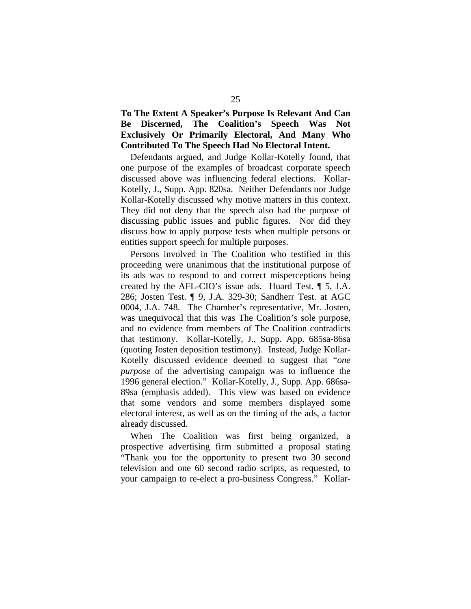**To The Extent A Speaker's Purpose Is Relevant And Can Be Discerned, The Coalition's Speech Was Not Exclusively Or Primarily Electoral, And Many Who Contributed To The Speech Had No Electoral Intent.** 

Defendants argued, and Judge Kollar-Kotelly found, that one purpose of the examples of broadcast corporate speech discussed above was influencing federal elections. Kollar-Kotelly, J., Supp. App. 820sa. Neither Defendants nor Judge Kollar-Kotelly discussed why motive matters in this context. They did not deny that the speech also had the purpose of discussing public issues and public figures. Nor did they discuss how to apply purpose tests when multiple persons or entities support speech for multiple purposes.

Persons involved in The Coalition who testified in this proceeding were unanimous that the institutional purpose of its ads was to respond to and correct misperceptions being created by the AFL-CIO's issue ads. Huard Test. ¶ 5, J.A. 286; Josten Test. ¶ 9, J.A. 329-30; Sandherr Test. at AGC 0004, J.A. 748. The Chamber's representative, Mr. Josten, was unequivocal that this was The Coalition's sole purpose, and no evidence from members of The Coalition contradicts that testimony. Kollar-Kotelly, J., Supp. App. 685sa-86sa (quoting Josten deposition testimony). Instead, Judge Kollar-Kotelly discussed evidence deemed to suggest that "*one purpose* of the advertising campaign was to influence the 1996 general election." Kollar-Kotelly, J., Supp. App. 686sa-89sa (emphasis added). This view was based on evidence that some vendors and some members displayed some electoral interest, as well as on the timing of the ads, a factor already discussed.

When The Coalition was first being organized, a prospective advertising firm submitted a proposal stating "Thank you for the opportunity to present two 30 second television and one 60 second radio scripts, as requested, to your campaign to re-elect a pro-business Congress." Kollar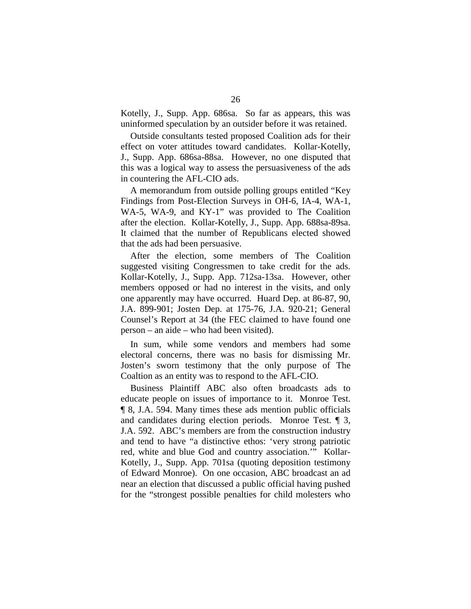Kotelly, J., Supp. App. 686sa. So far as appears, this was uninformed speculation by an outsider before it was retained.

Outside consultants tested proposed Coalition ads for their effect on voter attitudes toward candidates. Kollar-Kotelly, J., Supp. App. 686sa-88sa. However, no one disputed that this was a logical way to assess the persuasiveness of the ads in countering the AFL-CIO ads.

A memorandum from outside polling groups entitled "Key Findings from Post-Election Surveys in OH-6, IA-4, WA-1, WA-5, WA-9, and KY-1" was provided to The Coalition after the election. Kollar-Kotelly, J., Supp. App. 688sa-89sa. It claimed that the number of Republicans elected showed that the ads had been persuasive.

After the election, some members of The Coalition suggested visiting Congressmen to take credit for the ads. Kollar-Kotelly, J., Supp. App. 712sa-13sa. However, other members opposed or had no interest in the visits, and only one apparently may have occurred. Huard Dep. at 86-87, 90, J.A. 899-901; Josten Dep. at 175-76, J.A. 920-21; General Counsel's Report at 34 (the FEC claimed to have found one person – an aide – who had been visited).

In sum, while some vendors and members had some electoral concerns, there was no basis for dismissing Mr. Josten's sworn testimony that the only purpose of The Coaltion as an entity was to respond to the AFL-CIO.

Business Plaintiff ABC also often broadcasts ads to educate people on issues of importance to it. Monroe Test. ¶ 8, J.A. 594. Many times these ads mention public officials and candidates during election periods. Monroe Test. ¶ 3, J.A. 592. ABC's members are from the construction industry and tend to have "a distinctive ethos: 'very strong patriotic red, white and blue God and country association.'" Kollar-Kotelly, J., Supp. App. 701sa (quoting deposition testimony of Edward Monroe). On one occasion, ABC broadcast an ad near an election that discussed a public official having pushed for the "strongest possible penalties for child molesters who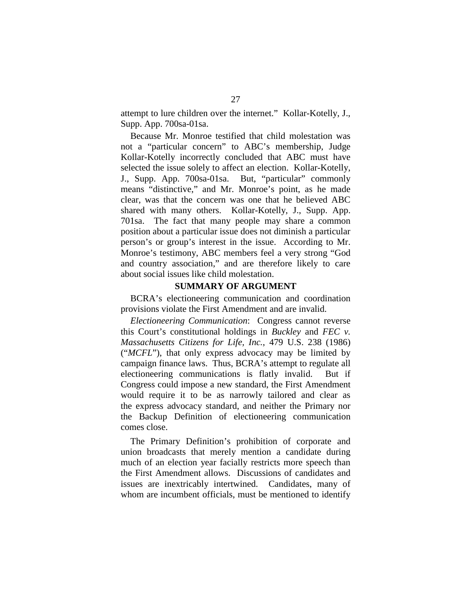attempt to lure children over the internet." Kollar-Kotelly, J., Supp. App. 700sa-01sa.

Because Mr. Monroe testified that child molestation was not a "particular concern" to ABC's membership, Judge Kollar-Kotelly incorrectly concluded that ABC must have selected the issue solely to affect an election. Kollar-Kotelly, J., Supp. App. 700sa-01sa. But, "particular" commonly means "distinctive," and Mr. Monroe's point, as he made clear, was that the concern was one that he believed ABC shared with many others. Kollar-Kotelly, J., Supp. App. 701sa. The fact that many people may share a common position about a particular issue does not diminish a particular person's or group's interest in the issue. According to Mr. Monroe's testimony, ABC members feel a very strong "God and country association," and are therefore likely to care about social issues like child molestation.

#### **SUMMARY OF ARGUMENT**

BCRA's electioneering communication and coordination provisions violate the First Amendment and are invalid.

*Electioneering Communication*: Congress cannot reverse this Court's constitutional holdings in *Buckley* and *FEC v. Massachusetts Citizens for Life, Inc.*, 479 U.S. 238 (1986) ("*MCFL*"), that only express advocacy may be limited by campaign finance laws. Thus, BCRA's attempt to regulate all electioneering communications is flatly invalid. But if Congress could impose a new standard, the First Amendment would require it to be as narrowly tailored and clear as the express advocacy standard, and neither the Primary nor the Backup Definition of electioneering communication comes close.

The Primary Definition's prohibition of corporate and union broadcasts that merely mention a candidate during much of an election year facially restricts more speech than the First Amendment allows. Discussions of candidates and issues are inextricably intertwined. Candidates, many of whom are incumbent officials, must be mentioned to identify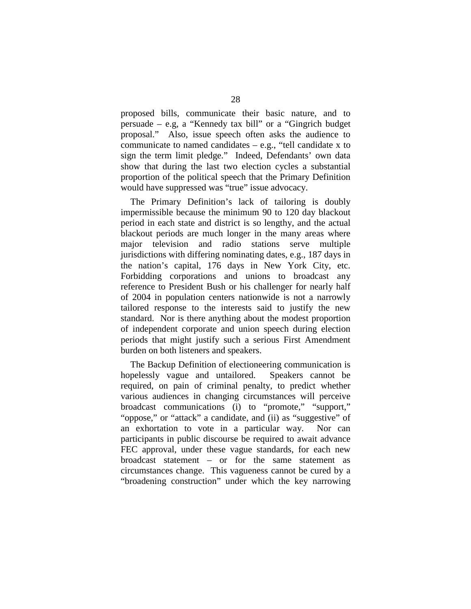proposed bills, communicate their basic nature, and to persuade – e.g, a "Kennedy tax bill" or a "Gingrich budget proposal." Also, issue speech often asks the audience to communicate to named candidates – e.g., "tell candidate x to sign the term limit pledge." Indeed, Defendants' own data show that during the last two election cycles a substantial proportion of the political speech that the Primary Definition would have suppressed was "true" issue advocacy.

The Primary Definition's lack of tailoring is doubly impermissible because the minimum 90 to 120 day blackout period in each state and district is so lengthy, and the actual blackout periods are much longer in the many areas where major television and radio stations serve multiple jurisdictions with differing nominating dates, e.g., 187 days in the nation's capital, 176 days in New York City, etc. Forbidding corporations and unions to broadcast any reference to President Bush or his challenger for nearly half of 2004 in population centers nationwide is not a narrowly tailored response to the interests said to justify the new standard. Nor is there anything about the modest proportion of independent corporate and union speech during election periods that might justify such a serious First Amendment burden on both listeners and speakers.

The Backup Definition of electioneering communication is hopelessly vague and untailored. Speakers cannot be required, on pain of criminal penalty, to predict whether various audiences in changing circumstances will perceive broadcast communications (i) to "promote," "support," "oppose," or "attack" a candidate, and (ii) as "suggestive" of an exhortation to vote in a particular way. Nor can participants in public discourse be required to await advance FEC approval, under these vague standards, for each new broadcast statement – or for the same statement as circumstances change. This vagueness cannot be cured by a "broadening construction" under which the key narrowing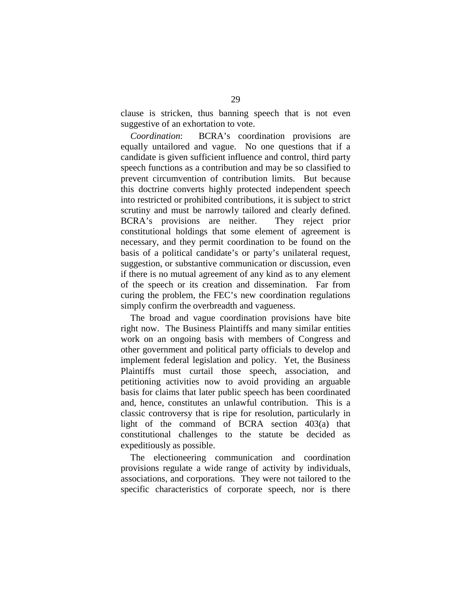clause is stricken, thus banning speech that is not even suggestive of an exhortation to vote.

*Coordination*: BCRA's coordination provisions are equally untailored and vague. No one questions that if a candidate is given sufficient influence and control, third party speech functions as a contribution and may be so classified to prevent circumvention of contribution limits. But because this doctrine converts highly protected independent speech into restricted or prohibited contributions, it is subject to strict scrutiny and must be narrowly tailored and clearly defined. BCRA's provisions are neither. They reject prior constitutional holdings that some element of agreement is necessary, and they permit coordination to be found on the basis of a political candidate's or party's unilateral request, suggestion, or substantive communication or discussion, even if there is no mutual agreement of any kind as to any element of the speech or its creation and dissemination. Far from curing the problem, the FEC's new coordination regulations simply confirm the overbreadth and vagueness.

The broad and vague coordination provisions have bite right now. The Business Plaintiffs and many similar entities work on an ongoing basis with members of Congress and other government and political party officials to develop and implement federal legislation and policy. Yet, the Business Plaintiffs must curtail those speech, association, and petitioning activities now to avoid providing an arguable basis for claims that later public speech has been coordinated and, hence, constitutes an unlawful contribution. This is a classic controversy that is ripe for resolution, particularly in light of the command of BCRA section 403(a) that constitutional challenges to the statute be decided as expeditiously as possible.

The electioneering communication and coordination provisions regulate a wide range of activity by individuals, associations, and corporations. They were not tailored to the specific characteristics of corporate speech, nor is there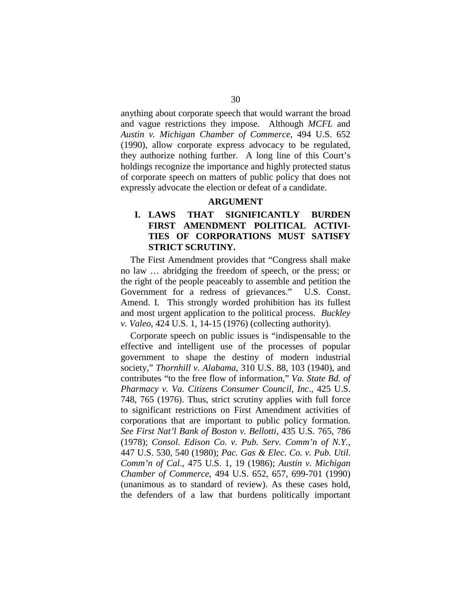anything about corporate speech that would warrant the broad and vague restrictions they impose. Although *MCFL* and *Austin v. Michigan Chamber of Commerce*, 494 U.S. 652 (1990), allow corporate express advocacy to be regulated, they authorize nothing further. A long line of this Court's holdings recognize the importance and highly protected status of corporate speech on matters of public policy that does not expressly advocate the election or defeat of a candidate.

## **ARGUMENT**

# **I. LAWS THAT SIGNIFICANTLY BURDEN FIRST AMENDMENT POLITICAL ACTIVI-TIES OF CORPORATIONS MUST SATISFY STRICT SCRUTINY.**

The First Amendment provides that "Congress shall make no law … abridging the freedom of speech, or the press; or the right of the people peaceably to assemble and petition the Government for a redress of grievances." U.S. Const. Amend. I. This strongly worded prohibition has its fullest and most urgent application to the political process. *Buckley v. Valeo*, 424 U.S. 1, 14-15 (1976) (collecting authority).

Corporate speech on public issues is "indispensable to the effective and intelligent use of the processes of popular government to shape the destiny of modern industrial society," *Thornhill v. Alabama*, 310 U.S. 88, 103 (1940), and contributes "to the free flow of information," *Va. State Bd. of Pharmacy v. Va. Citizens Consumer Council, Inc*., 425 U.S. 748, 765 (1976). Thus, strict scrutiny applies with full force to significant restrictions on First Amendment activities of corporations that are important to public policy formation. *See First Nat'l Bank of Boston v. Bellotti*, 435 U.S. 765, 786 (1978); *Consol. Edison Co. v. Pub. Serv. Comm'n of N.Y.*, 447 U.S. 530, 540 (1980); *Pac. Gas & Elec. Co. v. Pub. Util. Comm'n of Cal.*, 475 U.S. 1, 19 (1986); *Austin v. Michigan Chamber of Commerce*, 494 U.S. 652, 657, 699-701 (1990) (unanimous as to standard of review). As these cases hold, the defenders of a law that burdens politically important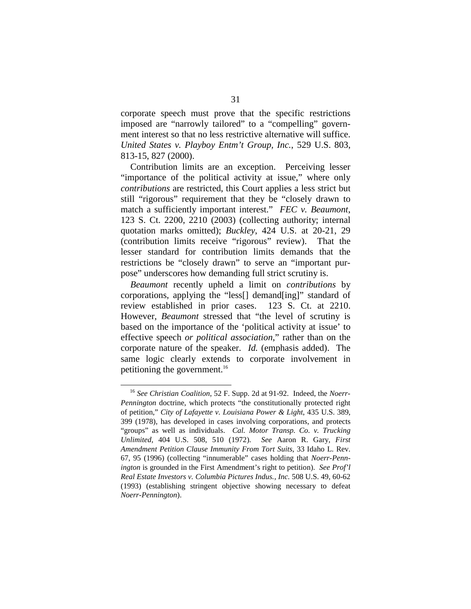corporate speech must prove that the specific restrictions imposed are "narrowly tailored" to a "compelling" government interest so that no less restrictive alternative will suffice. *United States v. Playboy Entm't Group, Inc.*, 529 U.S. 803, 813-15, 827 (2000).

Contribution limits are an exception. Perceiving lesser "importance of the political activity at issue," where only *contributions* are restricted, this Court applies a less strict but still "rigorous" requirement that they be "closely drawn to match a sufficiently important interest." *FEC v. Beaumont*, 123 S. Ct. 2200, 2210 (2003) (collecting authority; internal quotation marks omitted); *Buckley*, 424 U.S. at 20-21, 29 (contribution limits receive "rigorous" review). That the lesser standard for contribution limits demands that the restrictions be "closely drawn" to serve an "important purpose" underscores how demanding full strict scrutiny is.

*Beaumont* recently upheld a limit on *contributions* by corporations, applying the "less[] demand[ing]" standard of review established in prior cases. 123 S. Ct. at 2210. However, *Beaumont* stressed that "the level of scrutiny is based on the importance of the 'political activity at issue' to effective speech *or political association*," rather than on the corporate nature of the speaker. *Id.* (emphasis added). The same logic clearly extends to corporate involvement in petitioning the government.16

<sup>16</sup>*See Christian Coalition*, 52 F. Supp. 2d at 91-92. Indeed, the *Noerr-Pennington* doctrine, which protects "the constitutionally protected right of petition," *City of Lafayette v. Louisiana Power & Light*, 435 U.S. 389, 399 (1978), has developed in cases involving corporations, and protects "groups" as well as individuals. *Cal. Motor Transp. Co. v. Trucking Unlimited,* 404 U.S. 508, 510 (1972). *See* Aaron R. Gary, *First Amendment Petition Clause Immunity From Tort Suits*, 33 Idaho L. Rev. 67, 95 (1996) (collecting "innumerable" cases holding that *Noerr-Pennington* is grounded in the First Amendment's right to petition). *See Prof'l Real Estate Investors v. Columbia Pictures Indus., Inc.* 508 U.S. 49, 60-62 (1993) (establishing stringent objective showing necessary to defeat *Noerr-Pennington*).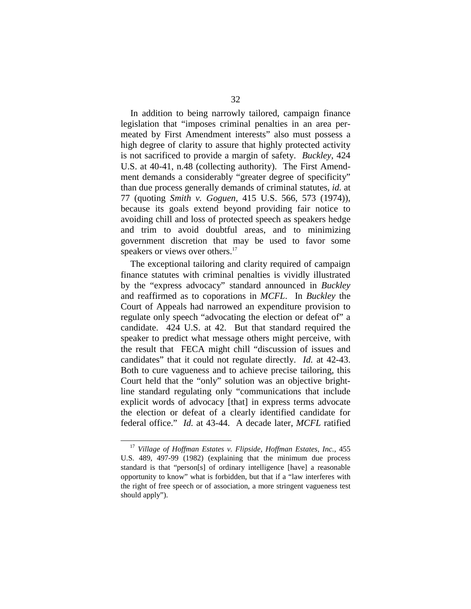In addition to being narrowly tailored, campaign finance legislation that "imposes criminal penalties in an area permeated by First Amendment interests" also must possess a high degree of clarity to assure that highly protected activity is not sacrificed to provide a margin of safety. *Buckley*, 424 U.S. at 40-41, n.48 (collecting authority). The First Amendment demands a considerably "greater degree of specificity" than due process generally demands of criminal statutes, *id.* at 77 (quoting *Smith v. Goguen*, 415 U.S. 566, 573 (1974)), because its goals extend beyond providing fair notice to avoiding chill and loss of protected speech as speakers hedge and trim to avoid doubtful areas, and to minimizing government discretion that may be used to favor some speakers or views over others.<sup>17</sup>

The exceptional tailoring and clarity required of campaign finance statutes with criminal penalties is vividly illustrated by the "express advocacy" standard announced in *Buckley*  and reaffirmed as to coporations in *MCFL*. In *Buckley* the Court of Appeals had narrowed an expenditure provision to regulate only speech "advocating the election or defeat of" a candidate. 424 U.S. at 42. But that standard required the speaker to predict what message others might perceive, with the result that FECA might chill "discussion of issues and candidates" that it could not regulate directly. *Id.* at 42-43. Both to cure vagueness and to achieve precise tailoring, this Court held that the "only" solution was an objective brightline standard regulating only "communications that include explicit words of advocacy [that] in express terms advocate the election or defeat of a clearly identified candidate for federal office." *Id.* at 43-44. A decade later, *MCFL* ratified

<sup>&</sup>lt;sup>17</sup> Village of Hoffman Estates v. Flipside, Hoffman Estates, Inc., 455 U.S. 489, 497-99 (1982) (explaining that the minimum due process standard is that "person[s] of ordinary intelligence [have] a reasonable opportunity to know" what is forbidden, but that if a "law interferes with the right of free speech or of association, a more stringent vagueness test should apply").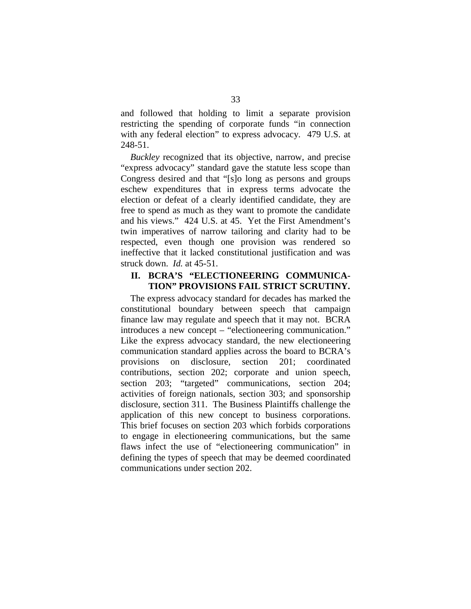and followed that holding to limit a separate provision restricting the spending of corporate funds "in connection with any federal election" to express advocacy. 479 U.S. at 248-51.

*Buckley* recognized that its objective, narrow, and precise "express advocacy" standard gave the statute less scope than Congress desired and that "[s]o long as persons and groups eschew expenditures that in express terms advocate the election or defeat of a clearly identified candidate, they are free to spend as much as they want to promote the candidate and his views." 424 U.S. at 45. Yet the First Amendment's twin imperatives of narrow tailoring and clarity had to be respected, even though one provision was rendered so ineffective that it lacked constitutional justification and was struck down. *Id.* at 45-51.

## **II. BCRA'S "ELECTIONEERING COMMUNICA-TION" PROVISIONS FAIL STRICT SCRUTINY.**

The express advocacy standard for decades has marked the constitutional boundary between speech that campaign finance law may regulate and speech that it may not. BCRA introduces a new concept – "electioneering communication." Like the express advocacy standard, the new electioneering communication standard applies across the board to BCRA's provisions on disclosure, section 201; coordinated contributions, section 202; corporate and union speech, section 203; "targeted" communications, section 204; activities of foreign nationals, section 303; and sponsorship disclosure, section 311. The Business Plaintiffs challenge the application of this new concept to business corporations. This brief focuses on section 203 which forbids corporations to engage in electioneering communications, but the same flaws infect the use of "electioneering communication" in defining the types of speech that may be deemed coordinated communications under section 202.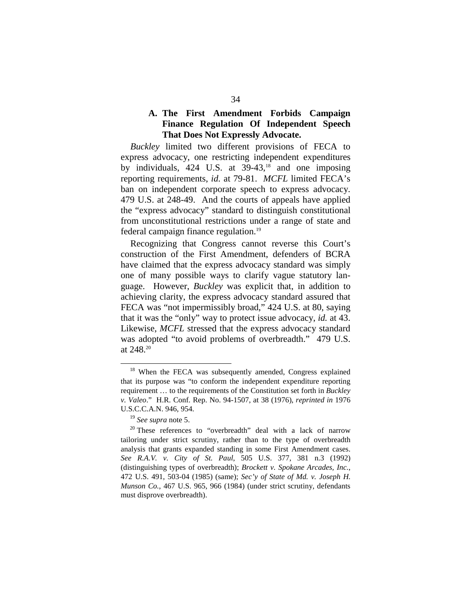## **A. The First Amendment Forbids Campaign Finance Regulation Of Independent Speech That Does Not Expressly Advocate.**

*Buckley* limited two different provisions of FECA to express advocacy, one restricting independent expenditures by individuals,  $424$  U.S. at  $39-43$ ,<sup>18</sup> and one imposing reporting requirements, *id.* at 79-81. *MCFL* limited FECA's ban on independent corporate speech to express advocacy. 479 U.S. at 248-49. And the courts of appeals have applied the "express advocacy" standard to distinguish constitutional from unconstitutional restrictions under a range of state and federal campaign finance regulation.19

Recognizing that Congress cannot reverse this Court's construction of the First Amendment, defenders of BCRA have claimed that the express advocacy standard was simply one of many possible ways to clarify vague statutory language. However, *Buckley* was explicit that, in addition to achieving clarity, the express advocacy standard assured that FECA was "not impermissibly broad," 424 U.S. at 80, saying that it was the "only" way to protect issue advocacy, *id.* at 43. Likewise, *MCFL* stressed that the express advocacy standard was adopted "to avoid problems of overbreadth." 479 U.S. at 248.20

<sup>&</sup>lt;sup>18</sup> When the FECA was subsequently amended, Congress explained that its purpose was "to conform the independent expenditure reporting requirement … to the requirements of the Constitution set forth in *Buckley v. Valeo*." H.R. Conf. Rep. No. 94-1507, at 38 (1976), *reprinted in* 1976

U.S.C.C.A.N. 946, 954.<br><sup>19</sup> See supra note 5.<br><sup>20</sup> These references to "overbreadth" deal with a lack of narrow tailoring under strict scrutiny, rather than to the type of overbreadth analysis that grants expanded standing in some First Amendment cases. *See R.A.V. v. City of St. Paul*, 505 U.S. 377, 381 n.3 (1992) (distinguishing types of overbreadth); *Brockett v. Spokane Arcades, Inc.*, 472 U.S. 491, 503-04 (1985) (same); *Sec'y of State of Md. v. Joseph H. Munson Co.*, 467 U.S. 965, 966 (1984) (under strict scrutiny, defendants must disprove overbreadth).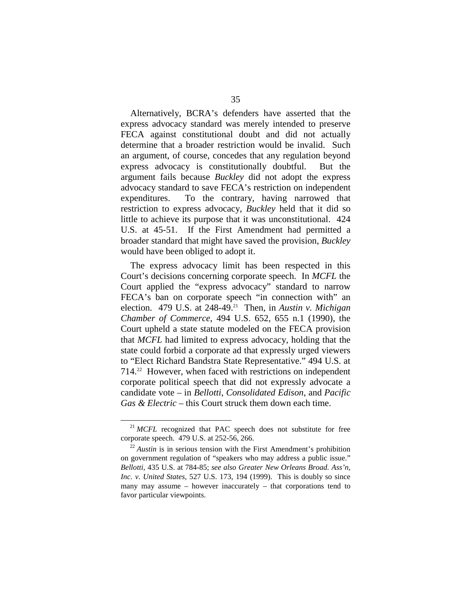Alternatively, BCRA's defenders have asserted that the express advocacy standard was merely intended to preserve FECA against constitutional doubt and did not actually determine that a broader restriction would be invalid. Such an argument, of course, concedes that any regulation beyond express advocacy is constitutionally doubtful. But the argument fails because *Buckley* did not adopt the express advocacy standard to save FECA's restriction on independent expenditures. To the contrary, having narrowed that restriction to express advocacy, *Buckley* held that it did so little to achieve its purpose that it was unconstitutional. 424 U.S. at 45-51. If the First Amendment had permitted a broader standard that might have saved the provision, *Buckley*  would have been obliged to adopt it.

The express advocacy limit has been respected in this Court's decisions concerning corporate speech. In *MCFL* the Court applied the "express advocacy" standard to narrow FECA's ban on corporate speech "in connection with" an election. 479 U.S. at 248-49.<sup>21</sup> Then, in *Austin v. Michigan Chamber of Commerce*, 494 U.S. 652, 655 n.1 (1990), the Court upheld a state statute modeled on the FECA provision that *MCFL* had limited to express advocacy, holding that the state could forbid a corporate ad that expressly urged viewers to "Elect Richard Bandstra State Representative." 494 U.S. at 714.22 However, when faced with restrictions on independent corporate political speech that did not expressly advocate a candidate vote – in *Bellotti*, *Consolidated Edison*, and *Pacific Gas & Electric* – this Court struck them down each time.

<sup>&</sup>lt;sup>21</sup> *MCFL* recognized that PAC speech does not substitute for free corporate speech. 479 U.S. at  $252-56$ , 266.

 $^{22}$  Austin is in serious tension with the First Amendment's prohibition on government regulation of "speakers who may address a public issue." *Bellotti*, 435 U.S. at 784-85; *see also Greater New Orleans Broad. Ass'n, Inc. v. United States*, 527 U.S. 173, 194 (1999). This is doubly so since many may assume – however inaccurately – that corporations tend to favor particular viewpoints.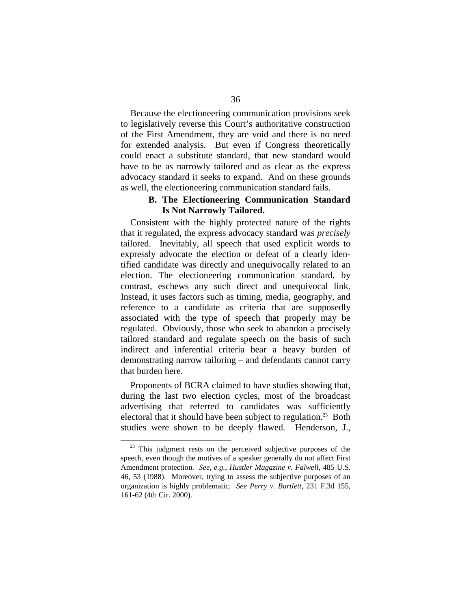Because the electioneering communication provisions seek to legislatively reverse this Court's authoritative construction of the First Amendment, they are void and there is no need for extended analysis. But even if Congress theoretically could enact a substitute standard, that new standard would have to be as narrowly tailored and as clear as the express advocacy standard it seeks to expand. And on these grounds as well, the electioneering communication standard fails.

## **B. The Electioneering Communication Standard Is Not Narrowly Tailored.**

Consistent with the highly protected nature of the rights that it regulated, the express advocacy standard was *precisely*  tailored. Inevitably, all speech that used explicit words to expressly advocate the election or defeat of a clearly identified candidate was directly and unequivocally related to an election. The electioneering communication standard, by contrast, eschews any such direct and unequivocal link. Instead, it uses factors such as timing, media, geography, and reference to a candidate as criteria that are supposedly associated with the type of speech that properly may be regulated. Obviously, those who seek to abandon a precisely tailored standard and regulate speech on the basis of such indirect and inferential criteria bear a heavy burden of demonstrating narrow tailoring – and defendants cannot carry that burden here.

Proponents of BCRA claimed to have studies showing that, during the last two election cycles, most of the broadcast advertising that referred to candidates was sufficiently electoral that it should have been subject to regulation.<sup>23</sup> Both studies were shown to be deeply flawed. Henderson, J.,

 $23$  This judgment rests on the perceived subjective purposes of the speech, even though the motives of a speaker generally do not affect First Amendment protection. *See, e.g.*, *Hustler Magazine v. Falwell*, 485 U.S. 46, 53 (1988). Moreover, trying to assess the subjective purposes of an organization is highly problematic. *See Perry v. Bartlett*, 231 F.3d 155, 161-62 (4th Cir. 2000).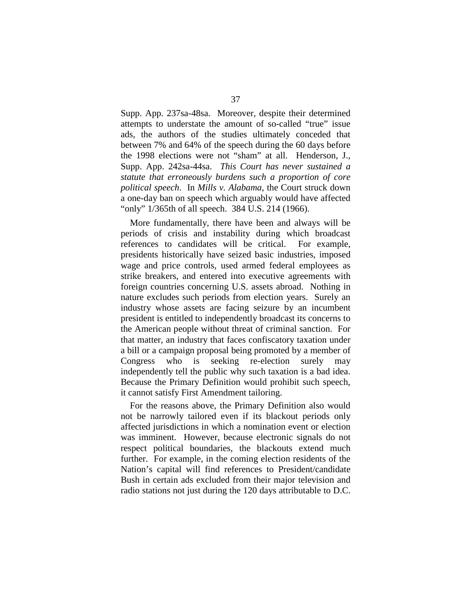Supp. App. 237sa-48sa. Moreover, despite their determined attempts to understate the amount of so-called "true" issue ads, the authors of the studies ultimately conceded that between 7% and 64% of the speech during the 60 days before the 1998 elections were not "sham" at all. Henderson, J., Supp. App. 242sa-44sa. *This Court has never sustained a statute that erroneously burdens such a proportion of core political speech*. In *Mills v. Alabama*, the Court struck down a one-day ban on speech which arguably would have affected "only" 1/365th of all speech. 384 U.S. 214 (1966).

More fundamentally, there have been and always will be periods of crisis and instability during which broadcast references to candidates will be critical. For example, presidents historically have seized basic industries, imposed wage and price controls, used armed federal employees as strike breakers, and entered into executive agreements with foreign countries concerning U.S. assets abroad. Nothing in nature excludes such periods from election years. Surely an industry whose assets are facing seizure by an incumbent president is entitled to independently broadcast its concerns to the American people without threat of criminal sanction. For that matter, an industry that faces confiscatory taxation under a bill or a campaign proposal being promoted by a member of Congress who is seeking re-election surely may independently tell the public why such taxation is a bad idea. Because the Primary Definition would prohibit such speech, it cannot satisfy First Amendment tailoring.

For the reasons above, the Primary Definition also would not be narrowly tailored even if its blackout periods only affected jurisdictions in which a nomination event or election was imminent. However, because electronic signals do not respect political boundaries, the blackouts extend much further. For example, in the coming election residents of the Nation's capital will find references to President/candidate Bush in certain ads excluded from their major television and radio stations not just during the 120 days attributable to D.C.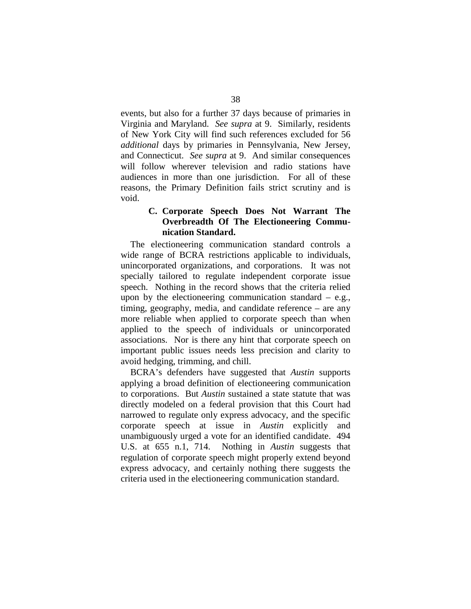events, but also for a further 37 days because of primaries in Virginia and Maryland. *See supra* at 9. Similarly, residents of New York City will find such references excluded for 56 *additional* days by primaries in Pennsylvania, New Jersey, and Connecticut. *See supra* at 9. And similar consequences will follow wherever television and radio stations have audiences in more than one jurisdiction. For all of these reasons, the Primary Definition fails strict scrutiny and is void.

## **C. Corporate Speech Does Not Warrant The Overbreadth Of The Electioneering Communication Standard.**

The electioneering communication standard controls a wide range of BCRA restrictions applicable to individuals, unincorporated organizations, and corporations. It was not specially tailored to regulate independent corporate issue speech. Nothing in the record shows that the criteria relied upon by the electioneering communication standard  $-$  e.g., timing, geography, media, and candidate reference – are any more reliable when applied to corporate speech than when applied to the speech of individuals or unincorporated associations. Nor is there any hint that corporate speech on important public issues needs less precision and clarity to avoid hedging, trimming, and chill.

BCRA's defenders have suggested that *Austin* supports applying a broad definition of electioneering communication to corporations. But *Austin* sustained a state statute that was directly modeled on a federal provision that this Court had narrowed to regulate only express advocacy, and the specific corporate speech at issue in *Austin* explicitly and unambiguously urged a vote for an identified candidate. 494 U.S. at 655 n.1, 714. Nothing in *Austin* suggests that regulation of corporate speech might properly extend beyond express advocacy, and certainly nothing there suggests the criteria used in the electioneering communication standard.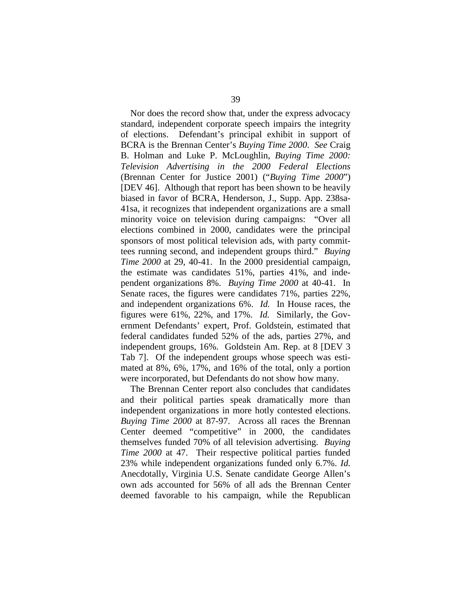Nor does the record show that, under the express advocacy standard, independent corporate speech impairs the integrity of elections. Defendant's principal exhibit in support of BCRA is the Brennan Center's *Buying Time 2000*. *See* Craig B. Holman and Luke P. McLoughlin, *Buying Time 2000: Television Advertising in the 2000 Federal Elections*  (Brennan Center for Justice 2001) ("*Buying Time 2000*") [DEV 46]. Although that report has been shown to be heavily biased in favor of BCRA, Henderson, J., Supp. App. 238sa-41sa, it recognizes that independent organizations are a small minority voice on television during campaigns: "Over all elections combined in 2000, candidates were the principal sponsors of most political television ads, with party committees running second, and independent groups third." *Buying Time 2000* at 29, 40-41. In the 2000 presidential campaign, the estimate was candidates 51%, parties 41%, and independent organizations 8%. *Buying Time 2000* at 40-41. In Senate races, the figures were candidates 71%, parties 22%, and independent organizations 6%. *Id.* In House races, the figures were 61%, 22%, and 17%. *Id.* Similarly, the Government Defendants' expert, Prof. Goldstein, estimated that federal candidates funded 52% of the ads, parties 27%, and independent groups, 16%. Goldstein Am. Rep. at 8 [DEV 3 Tab 7]. Of the independent groups whose speech was estimated at 8%, 6%, 17%, and 16% of the total, only a portion were incorporated, but Defendants do not show how many.

The Brennan Center report also concludes that candidates and their political parties speak dramatically more than independent organizations in more hotly contested elections. *Buying Time 2000* at 87-97. Across all races the Brennan Center deemed "competitive" in 2000, the candidates themselves funded 70% of all television advertising. *Buying Time 2000* at 47. Their respective political parties funded 23% while independent organizations funded only 6.7%. *Id.*  Anecdotally, Virginia U.S. Senate candidate George Allen's own ads accounted for 56% of all ads the Brennan Center deemed favorable to his campaign, while the Republican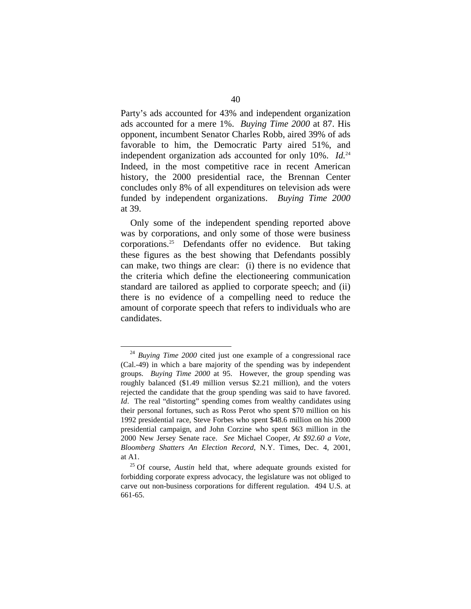Party's ads accounted for 43% and independent organization ads accounted for a mere 1%. *Buying Time 2000* at 87. His opponent, incumbent Senator Charles Robb, aired 39% of ads favorable to him, the Democratic Party aired 51%, and independent organization ads accounted for only 10%. *Id.*<sup>24</sup> Indeed, in the most competitive race in recent American history, the 2000 presidential race, the Brennan Center concludes only 8% of all expenditures on television ads were funded by independent organizations. *Buying Time 2000*  at 39.

Only some of the independent spending reported above was by corporations, and only some of those were business corporations.<sup>25</sup> Defendants offer no evidence. But taking these figures as the best showing that Defendants possibly can make, two things are clear: (i) there is no evidence that the criteria which define the electioneering communication standard are tailored as applied to corporate speech; and (ii) there is no evidence of a compelling need to reduce the amount of corporate speech that refers to individuals who are candidates.

<sup>&</sup>lt;sup>24</sup> Buying Time 2000 cited just one example of a congressional race (Cal.-49) in which a bare majority of the spending was by independent groups. *Buying Time 2000* at 95. However, the group spending was roughly balanced (\$1.49 million versus \$2.21 million), and the voters rejected the candidate that the group spending was said to have favored. *Id*. The real "distorting" spending comes from wealthy candidates using their personal fortunes, such as Ross Perot who spent \$70 million on his 1992 presidential race, Steve Forbes who spent \$48.6 million on his 2000 presidential campaign, and John Corzine who spent \$63 million in the 2000 New Jersey Senate race. *See* Michael Cooper, *At \$92.60 a Vote, Bloomberg Shatters An Election Record*, N.Y. Times, Dec. 4, 2001, at A1. 25 Of course, *Austin* held that, where adequate grounds existed for

forbidding corporate express advocacy, the legislature was not obliged to carve out non-business corporations for different regulation. 494 U.S. at 661-65.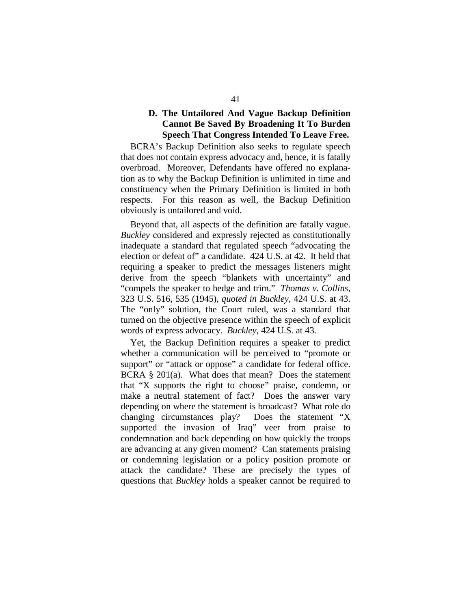## **D. The Untailored And Vague Backup Definition Cannot Be Saved By Broadening It To Burden Speech That Congress Intended To Leave Free.**

BCRA's Backup Definition also seeks to regulate speech that does not contain express advocacy and, hence, it is fatally overbroad. Moreover, Defendants have offered no explanation as to why the Backup Definition is unlimited in time and constituency when the Primary Definition is limited in both respects. For this reason as well, the Backup Definition obviously is untailored and void.

Beyond that, all aspects of the definition are fatally vague. *Buckley* considered and expressly rejected as constitutionally inadequate a standard that regulated speech "advocating the election or defeat of" a candidate. 424 U.S. at 42. It held that requiring a speaker to predict the messages listeners might derive from the speech "blankets with uncertainty" and "compels the speaker to hedge and trim." *Thomas v. Collins*, 323 U.S. 516, 535 (1945), *quoted in Buckley*, 424 U.S. at 43. The "only" solution, the Court ruled, was a standard that turned on the objective presence within the speech of explicit words of express advocacy. *Buckley*, 424 U.S. at 43.

Yet, the Backup Definition requires a speaker to predict whether a communication will be perceived to "promote or support" or "attack or oppose" a candidate for federal office. BCRA § 201(a). What does that mean? Does the statement that "X supports the right to choose" praise, condemn, or make a neutral statement of fact? Does the answer vary depending on where the statement is broadcast? What role do changing circumstances play? Does the statement "X supported the invasion of Iraq" veer from praise to condemnation and back depending on how quickly the troops are advancing at any given moment? Can statements praising or condemning legislation or a policy position promote or attack the candidate? These are precisely the types of questions that *Buckley* holds a speaker cannot be required to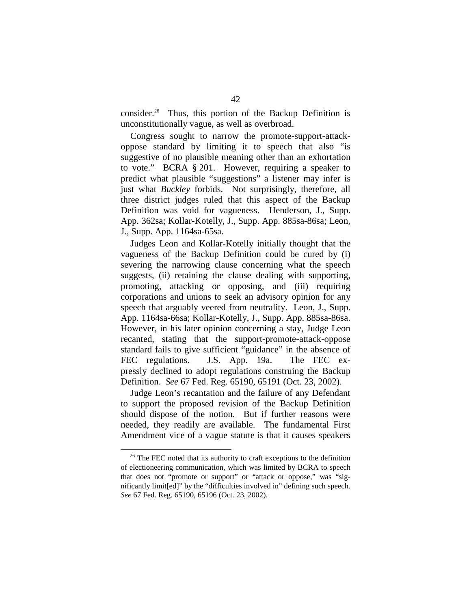consider.26 Thus, this portion of the Backup Definition is unconstitutionally vague, as well as overbroad.

Congress sought to narrow the promote-support-attackoppose standard by limiting it to speech that also "is suggestive of no plausible meaning other than an exhortation to vote." BCRA § 201. However, requiring a speaker to predict what plausible "suggestions" a listener may infer is just what *Buckley* forbids. Not surprisingly, therefore, all three district judges ruled that this aspect of the Backup Definition was void for vagueness. Henderson, J., Supp. App. 362sa; Kollar-Kotelly, J., Supp. App. 885sa-86sa; Leon, J., Supp. App. 1164sa-65sa.

Judges Leon and Kollar-Kotelly initially thought that the vagueness of the Backup Definition could be cured by (i) severing the narrowing clause concerning what the speech suggests, (ii) retaining the clause dealing with supporting, promoting, attacking or opposing, and (iii) requiring corporations and unions to seek an advisory opinion for any speech that arguably veered from neutrality. Leon, J., Supp. App. 1164sa-66sa; Kollar-Kotelly, J., Supp. App. 885sa-86sa. However, in his later opinion concerning a stay, Judge Leon recanted, stating that the support-promote-attack-oppose standard fails to give sufficient "guidance" in the absence of FEC regulations. J.S. App. 19a. The FEC expressly declined to adopt regulations construing the Backup Definition. *See* 67 Fed. Reg. 65190, 65191 (Oct. 23, 2002).

Judge Leon's recantation and the failure of any Defendant to support the proposed revision of the Backup Definition should dispose of the notion. But if further reasons were needed, they readily are available. The fundamental First Amendment vice of a vague statute is that it causes speakers

 $26$  The FEC noted that its authority to craft exceptions to the definition of electioneering communication, which was limited by BCRA to speech that does not "promote or support" or "attack or oppose," was "significantly limit[ed]" by the "difficulties involved in" defining such speech. *See* 67 Fed. Reg. 65190, 65196 (Oct. 23, 2002).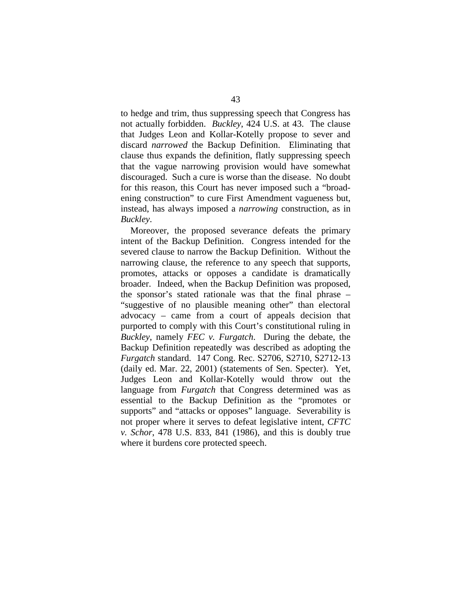to hedge and trim, thus suppressing speech that Congress has not actually forbidden. *Buckley*, 424 U.S. at 43. The clause that Judges Leon and Kollar-Kotelly propose to sever and discard *narrowed* the Backup Definition. Eliminating that clause thus expands the definition, flatly suppressing speech that the vague narrowing provision would have somewhat discouraged. Such a cure is worse than the disease. No doubt for this reason, this Court has never imposed such a "broadening construction" to cure First Amendment vagueness but, instead, has always imposed a *narrowing* construction, as in *Buckley*.

Moreover, the proposed severance defeats the primary intent of the Backup Definition. Congress intended for the severed clause to narrow the Backup Definition. Without the narrowing clause, the reference to any speech that supports, promotes, attacks or opposes a candidate is dramatically broader. Indeed, when the Backup Definition was proposed, the sponsor's stated rationale was that the final phrase – "suggestive of no plausible meaning other" than electoral advocacy – came from a court of appeals decision that purported to comply with this Court's constitutional ruling in *Buckley*, namely *FEC v. Furgatch*. During the debate, the Backup Definition repeatedly was described as adopting the *Furgatch* standard. 147 Cong. Rec. S2706, S2710, S2712-13 (daily ed. Mar. 22, 2001) (statements of Sen. Specter). Yet, Judges Leon and Kollar-Kotelly would throw out the language from *Furgatch* that Congress determined was as essential to the Backup Definition as the "promotes or supports" and "attacks or opposes" language. Severability is not proper where it serves to defeat legislative intent, *CFTC v. Schor*, 478 U.S. 833, 841 (1986), and this is doubly true where it burdens core protected speech.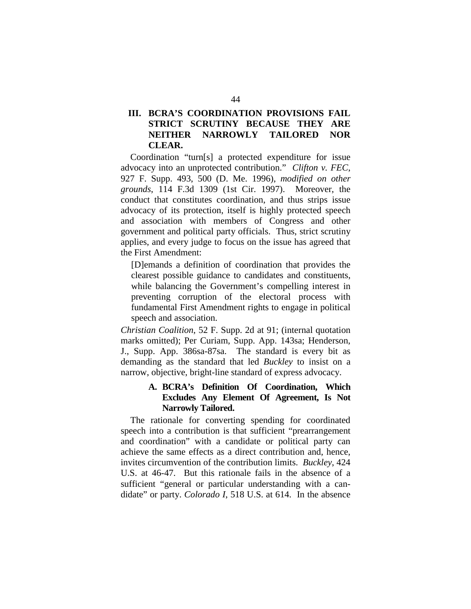# **III. BCRA'S COORDINATION PROVISIONS FAIL STRICT SCRUTINY BECAUSE THEY ARE NEITHER NARROWLY TAILORED NOR CLEAR.**

Coordination "turn[s] a protected expenditure for issue advocacy into an unprotected contribution." *Clifton v. FEC*, 927 F. Supp. 493, 500 (D. Me. 1996), *modified on other grounds*, 114 F.3d 1309 (1st Cir. 1997). Moreover, the conduct that constitutes coordination, and thus strips issue advocacy of its protection, itself is highly protected speech and association with members of Congress and other government and political party officials. Thus, strict scrutiny applies, and every judge to focus on the issue has agreed that the First Amendment:

[D]emands a definition of coordination that provides the clearest possible guidance to candidates and constituents, while balancing the Government's compelling interest in preventing corruption of the electoral process with fundamental First Amendment rights to engage in political speech and association.

*Christian Coalition*, 52 F. Supp. 2d at 91; (internal quotation marks omitted); Per Curiam, Supp. App. 143sa; Henderson, J., Supp. App. 386sa-87sa. The standard is every bit as demanding as the standard that led *Buckley* to insist on a narrow, objective, bright-line standard of express advocacy.

## **A. BCRA's Definition Of Coordination, Which Excludes Any Element Of Agreement, Is Not Narrowly Tailored.**

The rationale for converting spending for coordinated speech into a contribution is that sufficient "prearrangement and coordination" with a candidate or political party can achieve the same effects as a direct contribution and, hence, invites circumvention of the contribution limits. *Buckley*, 424 U.S. at 46-47. But this rationale fails in the absence of a sufficient "general or particular understanding with a candidate" or party. *Colorado I*, 518 U.S. at 614. In the absence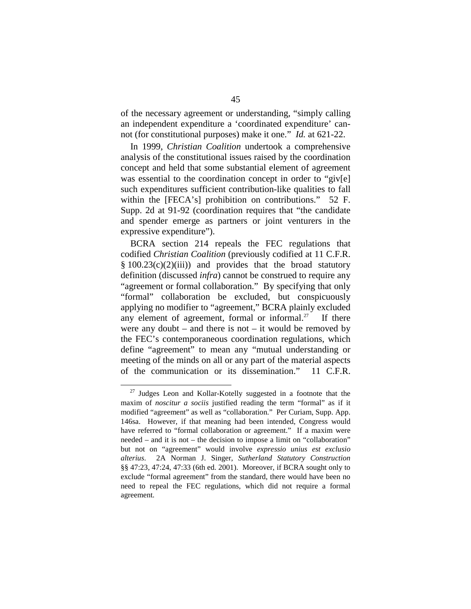of the necessary agreement or understanding, "simply calling an independent expenditure a 'coordinated expenditure' cannot (for constitutional purposes) make it one." *Id.* at 621-22.

In 1999, *Christian Coalition* undertook a comprehensive analysis of the constitutional issues raised by the coordination concept and held that some substantial element of agreement was essential to the coordination concept in order to "giv[e] such expenditures sufficient contribution-like qualities to fall within the [FECA's] prohibition on contributions." 52 F. Supp. 2d at 91-92 (coordination requires that "the candidate and spender emerge as partners or joint venturers in the expressive expenditure").

BCRA section 214 repeals the FEC regulations that codified *Christian Coalition* (previously codified at 11 C.F.R.  $§ 100.23(c)(2)(iii))$  and provides that the broad statutory definition (discussed *infra*) cannot be construed to require any "agreement or formal collaboration." By specifying that only "formal" collaboration be excluded, but conspicuously applying no modifier to "agreement," BCRA plainly excluded any element of agreement, formal or informal.<sup>27</sup> If there were any doubt – and there is not – it would be removed by the FEC's contemporaneous coordination regulations, which define "agreement" to mean any "mutual understanding or meeting of the minds on all or any part of the material aspects of the communication or its dissemination." 11 C.F.R.

 $27$  Judges Leon and Kollar-Kotelly suggested in a footnote that the maxim of *noscitur a sociis* justified reading the term "formal" as if it modified "agreement" as well as "collaboration." Per Curiam, Supp. App. 146sa. However, if that meaning had been intended, Congress would have referred to "formal collaboration or agreement." If a maxim were needed – and it is not – the decision to impose a limit on "collaboration" but not on "agreement" would involve *expressio unius est exclusio alterius*. 2A Norman J. Singer, *Sutherland Statutory Construction*  §§ 47:23, 47:24, 47:33 (6th ed. 2001). Moreover, if BCRA sought only to exclude "formal agreement" from the standard, there would have been no need to repeal the FEC regulations, which did not require a formal agreement.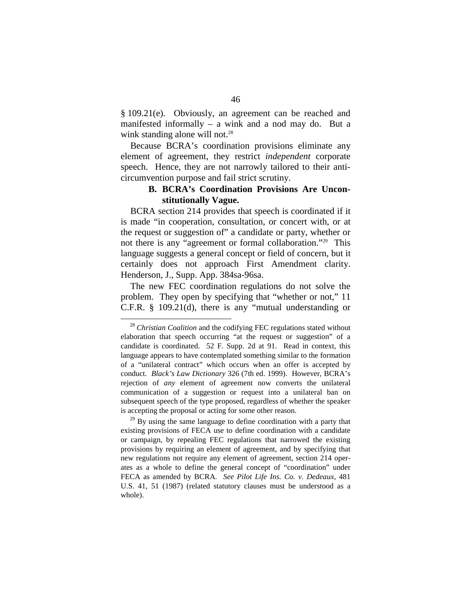§ 109.21(e). Obviously, an agreement can be reached and manifested informally – a wink and a nod may do. But a wink standing alone will not.<sup>28</sup>

Because BCRA's coordination provisions eliminate any element of agreement, they restrict *independent* corporate speech. Hence, they are not narrowly tailored to their anticircumvention purpose and fail strict scrutiny.

## **B. BCRA's Coordination Provisions Are Unconstitutionally Vague.**

BCRA section 214 provides that speech is coordinated if it is made "in cooperation, consultation, or concert with, or at the request or suggestion of" a candidate or party, whether or not there is any "agreement or formal collaboration."29 This language suggests a general concept or field of concern, but it certainly does not approach First Amendment clarity. Henderson, J., Supp. App. 384sa-96sa.

The new FEC coordination regulations do not solve the problem. They open by specifying that "whether or not," 11 C.F.R. § 109.21(d), there is any "mutual understanding or

existing provisions of FECA use to define coordination with a candidate or campaign, by repealing FEC regulations that narrowed the existing provisions by requiring an element of agreement, and by specifying that new regulations not require any element of agreement, section 214 operates as a whole to define the general concept of "coordination" under FECA as amended by BCRA. *See Pilot Life Ins. Co. v. Dedeaux*, 481 U.S. 41, 51 (1987) (related statutory clauses must be understood as a whole).

<sup>28</sup> *Christian Coalition* and the codifying FEC regulations stated without elaboration that speech occurring "at the request or suggestion" of a candidate is coordinated. 52 F. Supp. 2d at 91. Read in context, this language appears to have contemplated something similar to the formation of a "unilateral contract" which occurs when an offer is accepted by conduct. *Black's Law Dictionary* 326 (7th ed. 1999). However, BCRA's rejection of *any* element of agreement now converts the unilateral communication of a suggestion or request into a unilateral ban on subsequent speech of the type proposed, regardless of whether the speaker is accepting the proposal or acting for some other reason.<br><sup>29</sup> By using the same language to define coordination with a party that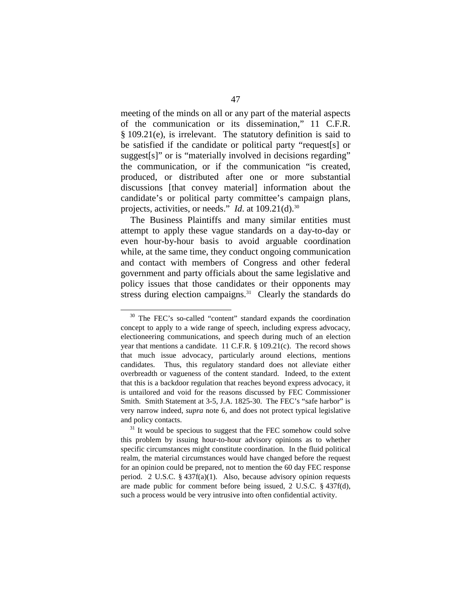meeting of the minds on all or any part of the material aspects of the communication or its dissemination," 11 C.F.R. § 109.21(e), is irrelevant. The statutory definition is said to be satisfied if the candidate or political party "request[s] or suggest[s]" or is "materially involved in decisions regarding" the communication, or if the communication "is created, produced, or distributed after one or more substantial discussions [that convey material] information about the candidate's or political party committee's campaign plans, projects, activities, or needs." *Id.* at 109.21(d).<sup>30</sup>

The Business Plaintiffs and many similar entities must attempt to apply these vague standards on a day-to-day or even hour-by-hour basis to avoid arguable coordination while, at the same time, they conduct ongoing communication and contact with members of Congress and other federal government and party officials about the same legislative and policy issues that those candidates or their opponents may stress during election campaigns.<sup>31</sup> Clearly the standards do

<sup>30</sup> The FEC's so-called "content" standard expands the coordination concept to apply to a wide range of speech, including express advocacy, electioneering communications, and speech during much of an election year that mentions a candidate. 11 C.F.R. § 109.21(c). The record shows that much issue advocacy, particularly around elections, mentions candidates. Thus, this regulatory standard does not alleviate either overbreadth or vagueness of the content standard. Indeed, to the extent that this is a backdoor regulation that reaches beyond express advocacy, it is untailored and void for the reasons discussed by FEC Commissioner Smith. Smith Statement at 3-5, J.A. 1825-30. The FEC's "safe harbor" is very narrow indeed, *supra* note 6, and does not protect typical legislative and policy contacts.<br> $31$  It would be specious to suggest that the FEC somehow could solve

this problem by issuing hour-to-hour advisory opinions as to whether specific circumstances might constitute coordination. In the fluid political realm, the material circumstances would have changed before the request for an opinion could be prepared, not to mention the 60 day FEC response period. 2 U.S.C. § 437f(a)(1). Also, because advisory opinion requests are made public for comment before being issued, 2 U.S.C. § 437f(d), such a process would be very intrusive into often confidential activity.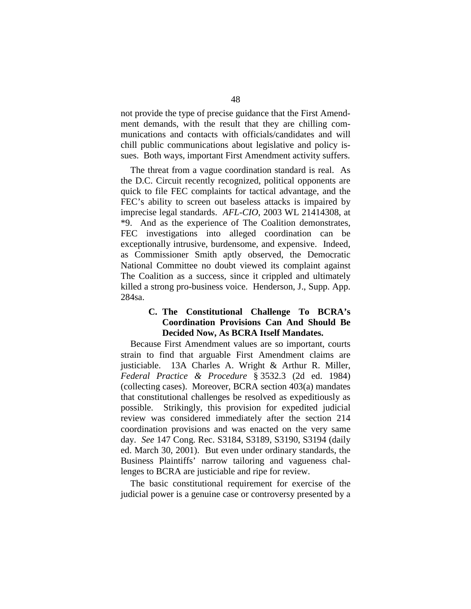not provide the type of precise guidance that the First Amendment demands, with the result that they are chilling communications and contacts with officials/candidates and will chill public communications about legislative and policy issues. Both ways, important First Amendment activity suffers.

The threat from a vague coordination standard is real. As the D.C. Circuit recently recognized, political opponents are quick to file FEC complaints for tactical advantage, and the FEC's ability to screen out baseless attacks is impaired by imprecise legal standards. *AFL-CIO*, 2003 WL 21414308, at \*9. And as the experience of The Coalition demonstrates, FEC investigations into alleged coordination can be exceptionally intrusive, burdensome, and expensive. Indeed, as Commissioner Smith aptly observed, the Democratic National Committee no doubt viewed its complaint against The Coalition as a success, since it crippled and ultimately killed a strong pro-business voice. Henderson, J., Supp. App. 284sa.

## **C. The Constitutional Challenge To BCRA's Coordination Provisions Can And Should Be Decided Now, As BCRA Itself Mandates.**

Because First Amendment values are so important, courts strain to find that arguable First Amendment claims are justiciable. 13A Charles A. Wright & Arthur R. Miller, *Federal Practice & Procedure* § 3532.3 (2d ed. 1984) (collecting cases). Moreover, BCRA section 403(a) mandates that constitutional challenges be resolved as expeditiously as possible. Strikingly, this provision for expedited judicial review was considered immediately after the section 214 coordination provisions and was enacted on the very same day. *See* 147 Cong. Rec. S3184, S3189, S3190, S3194 (daily ed. March 30, 2001). But even under ordinary standards, the Business Plaintiffs' narrow tailoring and vagueness challenges to BCRA are justiciable and ripe for review.

The basic constitutional requirement for exercise of the judicial power is a genuine case or controversy presented by a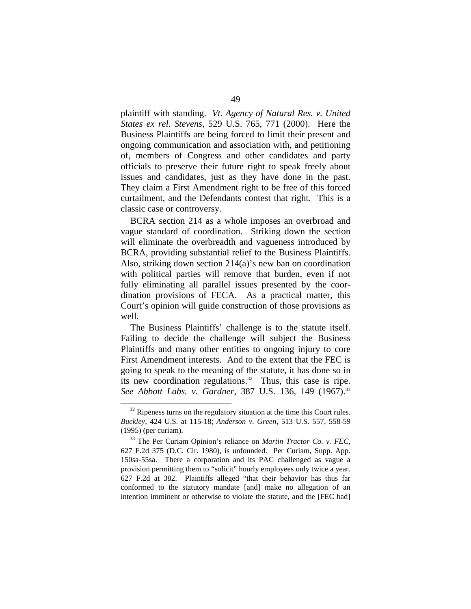plaintiff with standing. *Vt. Agency of Natural Res. v. United States ex rel. Stevens*, 529 U.S. 765, 771 (2000). Here the Business Plaintiffs are being forced to limit their present and ongoing communication and association with, and petitioning of, members of Congress and other candidates and party officials to preserve their future right to speak freely about issues and candidates, just as they have done in the past. They claim a First Amendment right to be free of this forced curtailment, and the Defendants contest that right. This is a classic case or controversy.

BCRA section 214 as a whole imposes an overbroad and vague standard of coordination. Striking down the section will eliminate the overbreadth and vagueness introduced by BCRA, providing substantial relief to the Business Plaintiffs. Also, striking down section 214(a)'s new ban on coordination with political parties will remove that burden, even if not fully eliminating all parallel issues presented by the coordination provisions of FECA. As a practical matter, this Court's opinion will guide construction of those provisions as well.

The Business Plaintiffs' challenge is to the statute itself. Failing to decide the challenge will subject the Business Plaintiffs and many other entities to ongoing injury to core First Amendment interests. And to the extent that the FEC is going to speak to the meaning of the statute, it has done so in its new coordination regulations.<sup>32</sup> Thus, this case is ripe. See Abbott Labs. v. Gardner, 387 U.S. 136, 149 (1967).<sup>33</sup>

 $32$  Ripeness turns on the regulatory situation at the time this Court rules. *Buckley*, 424 U.S. at 115-18; *Anderson v. Green*, 513 U.S. 557, 558-59 (1995) (per curiam). 33 The Per Curiam Opinion's reliance on *Martin Tractor Co. v. FEC*,

<sup>627</sup> F.2d 375 (D.C. Cir. 1980), is unfounded. Per Curiam, Supp. App. 150sa-55sa. There a corporation and its PAC challenged as vague a provision permitting them to "solicit" hourly employees only twice a year. 627 F.2d at 382. Plaintiffs alleged "that their behavior has thus far conformed to the statutory mandate [and] make no allegation of an intention imminent or otherwise to violate the statute, and the [FEC had]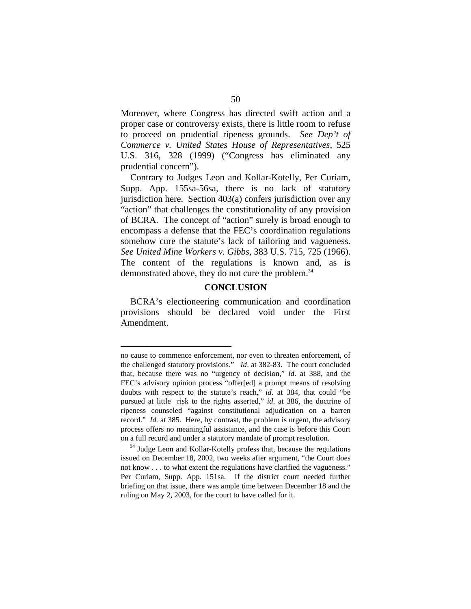Moreover, where Congress has directed swift action and a proper case or controversy exists, there is little room to refuse to proceed on prudential ripeness grounds. *See Dep't of Commerce v. United States House of Representatives*, 525 U.S. 316, 328 (1999) ("Congress has eliminated any prudential concern").

Contrary to Judges Leon and Kollar-Kotelly, Per Curiam, Supp. App. 155sa-56sa, there is no lack of statutory jurisdiction here. Section 403(a) confers jurisdiction over any "action" that challenges the constitutionality of any provision of BCRA. The concept of "action" surely is broad enough to encompass a defense that the FEC's coordination regulations somehow cure the statute's lack of tailoring and vagueness. *See United Mine Workers v. Gibbs*, 383 U.S. 715, 725 (1966). The content of the regulations is known and, as is demonstrated above, they do not cure the problem. 34

#### **CONCLUSION**

BCRA's electioneering communication and coordination provisions should be declared void under the First Amendment.

no cause to commence enforcement, nor even to threaten enforcement, of the challenged statutory provisions." *Id*. at 382-83. The court concluded that, because there was no "urgency of decision," *id*. at 388, and the FEC's advisory opinion process "offer[ed] a prompt means of resolving doubts with respect to the statute's reach," *id*. at 384, that could "be pursued at little risk to the rights asserted," *id*. at 386, the doctrine of ripeness counseled "against constitutional adjudication on a barren record." *Id.* at 385. Here, by contrast, the problem is urgent, the advisory process offers no meaningful assistance, and the case is before this Court on a full record and under a statutory mandate of prompt resolution. 34 Judge Leon and Kollar-Kotelly profess that, because the regulations

issued on December 18, 2002, two weeks after argument, "the Court does not know . . . to what extent the regulations have clarified the vagueness." Per Curiam, Supp. App. 151sa. If the district court needed further briefing on that issue, there was ample time between December 18 and the ruling on May 2, 2003, for the court to have called for it.